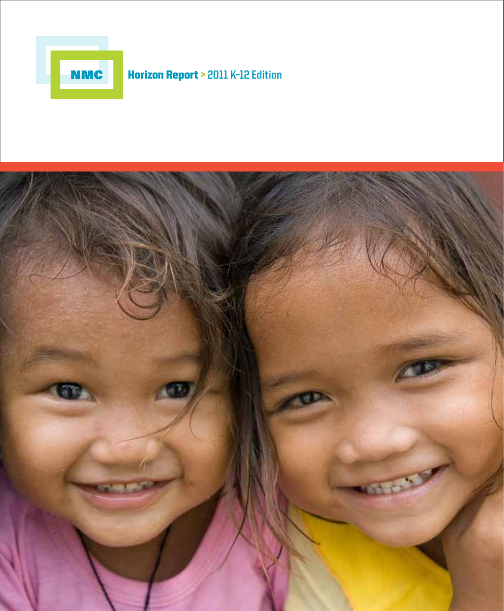

# NMC Horizon Report > **2011 K–12 Edition**

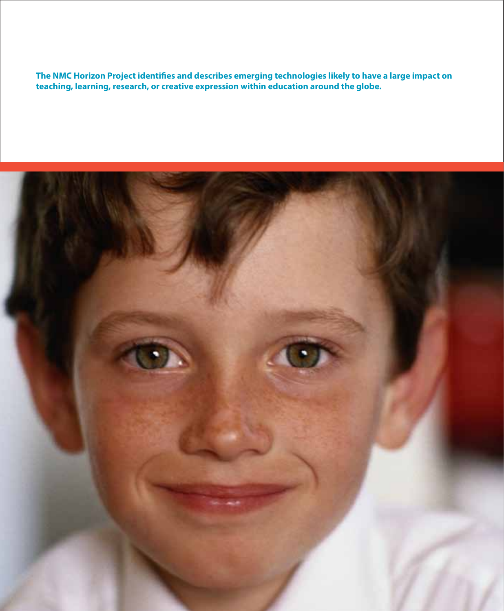The NMC Horizon Project identifies and describes emerging technologies likely to have a large impact on **teaching, learning, research, or creative expression within education around the globe.**

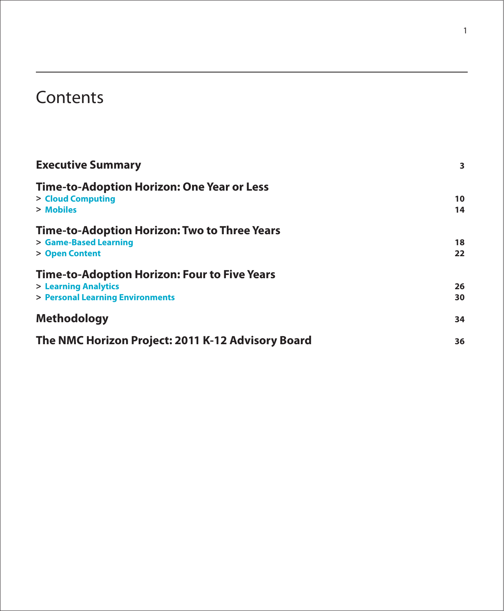# **Contents**

| <b>Executive Summary</b>                            | $\overline{\mathbf{3}}$ |
|-----------------------------------------------------|-------------------------|
| Time-to-Adoption Horizon: One Year or Less          |                         |
| > Cloud Computing                                   | 10                      |
| > Mobiles                                           | 14                      |
| Time-to-Adoption Horizon: Two to Three Years        |                         |
| > Game-Based Learning                               | 18                      |
| > Open Content                                      | 22                      |
| <b>Time-to-Adoption Horizon: Four to Five Years</b> |                         |
| > Learning Analytics                                | 26                      |
| > Personal Learning Environments                    | 30                      |
| <b>Methodology</b>                                  | 34                      |
| The NMC Horizon Project: 2011 K-12 Advisory Board   | 36                      |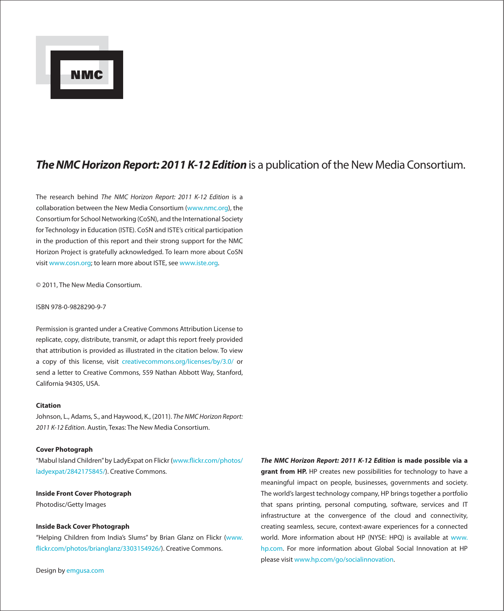

## The NMC Horizon Report: 2011 K-12 Edition is a publication of the New Media Consortium.

The research behind The NMC Horizon Report: 2011 K-12 Edition is a collaboration between the New Media Consortium [\(www.nmc.org](http://www.nmc.org)), the Consortium for School Networking (CoSN), and the International Society for Technology in Education (ISTE). CoSN and ISTE's critical participation in the production of this report and their strong support for the NMC Horizon Project is gratefully acknowledged. To learn more about CoSN visit [www.cosn.org](http://www.cosn.org); to learn more about ISTE, see [www.iste.org](http://www.iste.org).

© 2011, The New Media Consortium.

#### ISBN 978-0-9828290-9-7

Permission is granted under a Creative Commons Attribution License to replicate, copy, distribute, transmit, or adapt this report freely provided that attribution is provided as illustrated in the citation below. To view a copy of this license, visit [creativecommons.org/licenses/by/3.0/](http://www.creativecommons.org/licenses/by/3.0/) or send a letter to Creative Commons, 559 Nathan Abbott Way, Stanford, California 94305, USA.

#### **Citation**

Johnson, L., Adams, S., and Haywood, K., (2011). The NMC Horizon Report: 2011 K-12 Edition. Austin, Texas: The New Media Consortium.

#### **Cover Photograph**

"Mabul Island Children" by LadyExpat on Flickr (www.flickr.com/photos/ [ladyexpat/2842175845/](http://www.flickr.com/photos/ladyexpat/2842175845/)). Creative Commons.

#### **Inside Front Cover Photograph**

Photodisc/Getty Images

#### **Inside Back Cover Photograph**

"Helping Children from India's Slums" by Brian Glanz on Flickr [\(www.](http://www.flickr.com/photos/brianglanz/3303154926/) flickr.com/photos/brianglanz/3303154926/). Creative Commons.

**The NMC Horizon Report: 2011 K-12 Edition is made possible via a grant from HP.** HP creates new possibilities for technology to have a meaningful impact on people, businesses, governments and society. The world's largest technology company, HP brings together a portfolio that spans printing, personal computing, software, services and IT infrastructure at the convergence of the cloud and connectivity, creating seamless, secure, context-aware experiences for a connected world. More information about HP (NYSE: HPQ) is available at [www.](http://www.hp.com) [hp.com.](http://www.hp.com) For more information about Global Social Innovation at HP please visit [www.hp.com/go/socialinnovation.](http://www.hp.com/go/socialinnovation)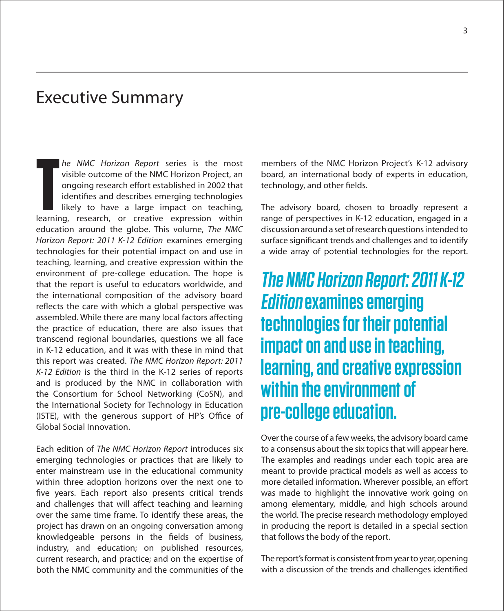## Executive Summary

he NMC Horizon Report series is the most visible outcome of the NMC Horizon Project, an ongoing research effort established in 2002 that identifies and describes emerging technologies likely to have a large impact on teaching, **he NMC Horizon Report series is the most visible outcome of the NMC Horizon Project, an ongoing research effort established in 2002 that identifies and describes emerging technologies likely to have a large impact on teac** education around the globe. This volume, The NMC Horizon Report: 2011 K-12 Edition examines emerging technologies for their potential impact on and use in teaching, learning, and creative expression within the environment of pre-college education. The hope is that the report is useful to educators worldwide, and the international composition of the advisory board reflects the care with which a global perspective was assembled. While there are many local factors affecting the practice of education, there are also issues that transcend regional boundaries, questions we all face in K-12 education, and it was with these in mind that this report was created. The NMC Horizon Report: 2011 K-12 Edition is the third in the K-12 series of reports and is produced by the NMC in collaboration with the Consortium for School Networking (CoSN), and the International Society for Technology in Education (ISTE), with the generous support of HP's Office of Global Social Innovation.

Each edition of The NMC Horizon Report introduces six emerging technologies or practices that are likely to enter mainstream use in the educational community within three adoption horizons over the next one to five years. Each report also presents critical trends and challenges that will affect teaching and learning over the same time frame. To identify these areas, the project has drawn on an ongoing conversation among knowledgeable persons in the fields of business, industry, and education; on published resources, current research, and practice; and on the expertise of both the NMC community and the communities of the

members of the NMC Horizon Project's K-12 advisory board, an international body of experts in education, technology, and other fields.

The advisory board, chosen to broadly represent a range of perspectives in K-12 education, engaged in a discussion around a set of research questions intended to surface significant trends and challenges and to identify a wide array of potential technologies for the report.

**The NMC Horizon Report: 2011 K-12 Edition examines emerging technologies for their potential impact on and use in teaching, learning, and creative expression within the environment of pre-college education.**

Over the course of a few weeks, the advisory board came to a consensus about the six topics that will appear here. The examples and readings under each topic area are meant to provide practical models as well as access to more detailed information. Wherever possible, an effort was made to highlight the innovative work going on among elementary, middle, and high schools around the world. The precise research methodology employed in producing the report is detailed in a special section that follows the body of the report.

The report's format is consistent from year to year, opening with a discussion of the trends and challenges identified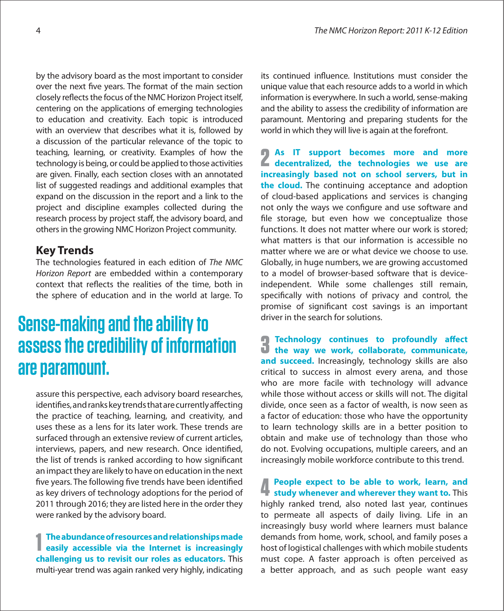by the advisory board as the most important to consider over the next five years. The format of the main section closely reflects the focus of the NMC Horizon Project itself, centering on the applications of emerging technologies to education and creativity. Each topic is introduced with an overview that describes what it is, followed by a discussion of the particular relevance of the topic to teaching, learning, or creativity. Examples of how the technology is being, or could be applied to those activities are given. Finally, each section closes with an annotated list of suggested readings and additional examples that expand on the discussion in the report and a link to the project and discipline examples collected during the research process by project staff, the advisory board, and others in the growing NMC Horizon Project community.

## **Key Trends**

The technologies featured in each edition of The NMC Horizon Report are embedded within a contemporary context that reflects the realities of the time, both in the sphere of education and in the world at large. To

# **Sense-making and the ability to assess the credibility of information are paramount.**

assure this perspective, each advisory board researches, identifies, and ranks key trends that are currently affecting the practice of teaching, learning, and creativity, and uses these as a lens for its later work. These trends are surfaced through an extensive review of current articles, interviews, papers, and new research. Once identified, the list of trends is ranked according to how significant an impact they are likely to have on education in the next five years. The following five trends have been identified as key drivers of technology adoptions for the period of 2011 through 2016; they are listed here in the order they were ranked by the advisory board.

**1 The abundance of resources and relationships made easily accessible via the Internet is increasingly challenging us to revisit our roles as educators.** This multi-year trend was again ranked very highly, indicating

its continued influence. Institutions must consider the unique value that each resource adds to a world in which information is everywhere. In such a world, sense-making and the ability to assess the credibility of information are paramount. Mentoring and preparing students for the world in which they will live is again at the forefront.

**2 As IT support becomes more and more decentralized, the technologies we use are increasingly based not on school servers, but in the cloud.** The continuing acceptance and adoption of cloud-based applications and services is changing not only the ways we configure and use software and file storage, but even how we conceptualize those functions. It does not matter where our work is stored; what matters is that our information is accessible no matter where we are or what device we choose to use. Globally, in huge numbers, we are growing accustomed to a model of browser-based software that is deviceindependent. While some challenges still remain, specifically with notions of privacy and control, the promise of significant cost savings is an important driver in the search for solutions.

**3 Technology continues to profoundly affect the way we work, collaborate, communicate,** and succeed. Increasingly, technology skills are also critical to success in almost every arena, and those who are more facile with technology will advance while those without access or skills will not. The digital divide, once seen as a factor of wealth, is now seen as a factor of education: those who have the opportunity to learn technology skills are in a better position to obtain and make use of technology than those who do not. Evolving occupations, multiple careers, and an increasingly mobile workforce contribute to this trend.

**4 People expect to be able to work, learn, and study whenever and wherever they want to.** This highly ranked trend, also noted last year, continues to permeate all aspects of daily living. Life in an increasingly busy world where learners must balance demands from home, work, school, and family poses a host of logistical challenges with which mobile students must cope. A faster approach is often perceived as a better approach, and as such people want easy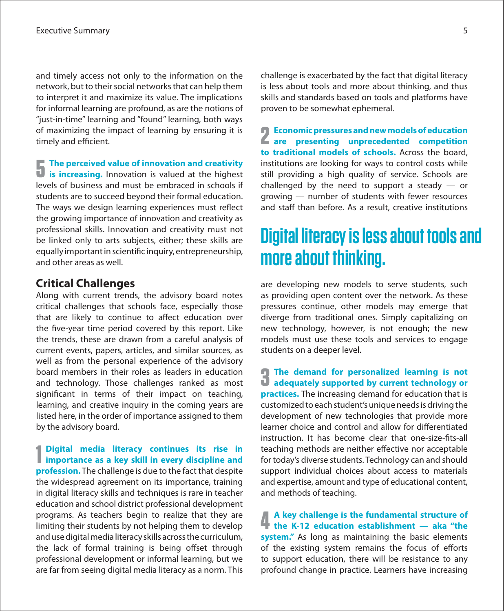and timely access not only to the information on the network, but to their social networks that can help them to interpret it and maximize its value. The implications for informal learning are profound, as are the notions of "just-in-time" learning and "found" learning, both ways of maximizing the impact of learning by ensuring it is timely and efficient.

**5 The perceived value of innovation and creativity is increasing.** Innovation is valued at the highest levels of business and must be embraced in schools if students are to succeed beyond their formal education. The ways we design learning experiences must reflect the growing importance of innovation and creativity as professional skills. Innovation and creativity must not be linked only to arts subjects, either; these skills are equally important in scientific inquiry, entrepreneurship, and other areas as well.

## **Critical Challenges**

Along with current trends, the advisory board notes critical challenges that schools face, especially those that are likely to continue to affect education over the five-year time period covered by this report. Like the trends, these are drawn from a careful analysis of current events, papers, articles, and similar sources, as well as from the personal experience of the advisory board members in their roles as leaders in education and technology. Those challenges ranked as most significant in terms of their impact on teaching, learning, and creative inquiry in the coming years are listed here, in the order of importance assigned to them by the advisory board.

**1** Digital media literacy continues its rise in importance as a key skill in every discipline and **Digital media literacy continues its rise in profession.** The challenge is due to the fact that despite the widespread agreement on its importance, training in digital literacy skills and techniques is rare in teacher education and school district professional development programs. As teachers begin to realize that they are limiting their students by not helping them to develop and use digital media literacy skills across the curriculum, the lack of formal training is being offset through professional development or informal learning, but we are far from seeing digital media literacy as a norm. This challenge is exacerbated by the fact that digital literacy is less about tools and more about thinking, and thus skills and standards based on tools and platforms have proven to be somewhat ephemeral.

**2 Economic pressures and new models of education are presenting unprecedented competition to traditional models of schools.** Across the board, institutions are looking for ways to control costs while still providing a high quality of service. Schools are challenged by the need to support a steady — or growing — number of students with fewer resources and staff than before. As a result, creative institutions

# **Digital literacy is less about tools and more about thinking.**

are developing new models to serve students, such as providing open content over the network. As these pressures continue, other models may emerge that diverge from traditional ones. Simply capitalizing on new technology, however, is not enough; the new models must use these tools and services to engage students on a deeper level.

**3** The demand for personalized learning is not **a** adequately supported by current technology or **practices.** The increasing demand for education that is customized to each student's unique needs is driving the development of new technologies that provide more learner choice and control and allow for differentiated instruction. It has become clear that one-size-fits-all teaching methods are neither effective nor acceptable for today's diverse students. Technology can and should support individual choices about access to materials and expertise, amount and type of educational content, and methods of teaching.

**4 A key challenge is the fundamental structure of the K-12 education establishment — aka "the system."** As long as maintaining the basic elements of the existing system remains the focus of efforts to support education, there will be resistance to any profound change in practice. Learners have increasing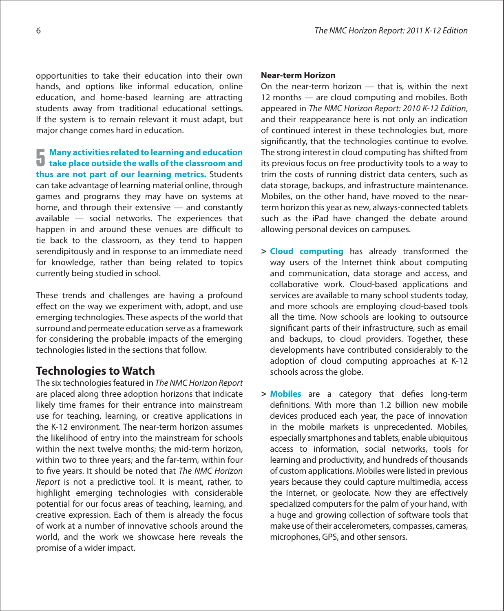opportunities to take their education into their own hands, and options like informal education, online education, and home-based learning are attracting students away from traditional educational settings. If the system is to remain relevant it must adapt, but major change comes hard in education.

**5 Many activities related to learning and education take place outside the walls of the classroom and thus are not part of our learning metrics.** Students can take advantage of learning material online, through games and programs they may have on systems at home, and through their extensive — and constantly available — social networks. The experiences that happen in and around these venues are difficult to tie back to the classroom, as they tend to happen serendipitously and in response to an immediate need for knowledge, rather than being related to topics currently being studied in school.

These trends and challenges are having a profound effect on the way we experiment with, adopt, and use emerging technologies. These aspects of the world that surround and permeate education serve as a framework for considering the probable impacts of the emerging technologies listed in the sections that follow.

## **Technologies to Watch**

The six technologies featured in The NMC Horizon Report are placed along three adoption horizons that indicate likely time frames for their entrance into mainstream use for teaching, learning, or creative applications in the K-12 environment. The near-term horizon assumes the likelihood of entry into the mainstream for schools within the next twelve months; the mid-term horizon, within two to three years; and the far-term, within four to five years. It should be noted that The NMC Horizon Report is not a predictive tool. It is meant, rather, to highlight emerging technologies with considerable potential for our focus areas of teaching, learning, and creative expression. Each of them is already the focus of work at a number of innovative schools around the world, and the work we showcase here reveals the promise of a wider impact.

## **Near-term Horizon**

On the near-term horizon — that is, within the next 12 months — are cloud computing and mobiles. Both appeared in The NMC Horizon Report: 2010 K-12 Edition, and their reappearance here is not only an indication of continued interest in these technologies but, more significantly, that the technologies continue to evolve. The strong interest in cloud computing has shifted from its previous focus on free productivity tools to a way to trim the costs of running district data centers, such as data storage, backups, and infrastructure maintenance. Mobiles, on the other hand, have moved to the nearterm horizon this year as new, always-connected tablets such as the iPad have changed the debate around allowing personal devices on campuses.

- **> Cloud computing** has already transformed the way users of the Internet think about computing and communication, data storage and access, and collaborative work. Cloud-based applications and services are available to many school students today, and more schools are employing cloud-based tools all the time. Now schools are looking to outsource significant parts of their infrastructure, such as email and backups, to cloud providers. Together, these developments have contributed considerably to the adoption of cloud computing approaches at K-12 schools across the globe.
- > **Mobiles** are a category that defies long-term definitions. With more than 1.2 billion new mobile devices produced each year, the pace of innovation in the mobile markets is unprecedented. Mobiles, especially smartphones and tablets, enable ubiquitous access to information, social networks, tools for learning and productivity, and hundreds of thousands of custom applications. Mobiles were listed in previous years because they could capture multimedia, access the Internet, or geolocate. Now they are effectively specialized computers for the palm of your hand, with a huge and growing collection of software tools that make use of their accelerometers, compasses, cameras, microphones, GPS, and other sensors.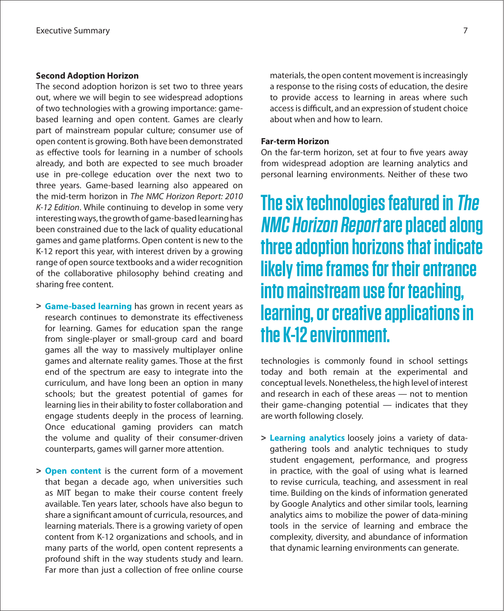## **Second Adoption Horizon**

The second adoption horizon is set two to three years out, where we will begin to see widespread adoptions of two technologies with a growing importance: gamebased learning and open content. Games are clearly part of mainstream popular culture; consumer use of open content is growing. Both have been demonstrated as effective tools for learning in a number of schools already, and both are expected to see much broader use in pre-college education over the next two to three years. Game-based learning also appeared on the mid-term horizon in The NMC Horizon Report: 2010 K-12 Edition. While continuing to develop in some very interesting ways, the growth of game-based learning has been constrained due to the lack of quality educational games and game platforms. Open content is new to the K-12 report this year, with interest driven by a growing range of open source textbooks and a wider recognition of the collaborative philosophy behind creating and sharing free content.

- **> Game-based learning** has grown in recent years as research continues to demonstrate its effectiveness for learning. Games for education span the range from single-player or small-group card and board games all the way to massively multiplayer online games and alternate reality games. Those at the first end of the spectrum are easy to integrate into the curriculum, and have long been an option in many schools; but the greatest potential of games for learning lies in their ability to foster collaboration and engage students deeply in the process of learning. Once educational gaming providers can match the volume and quality of their consumer-driven counterparts, games will garner more attention.
- **> Open content** is the current form of a movement that began a decade ago, when universities such as MIT began to make their course content freely available. Ten years later, schools have also begun to share a significant amount of curricula, resources, and learning materials. There is a growing variety of open content from K-12 organizations and schools, and in many parts of the world, open content represents a profound shift in the way students study and learn. Far more than just a collection of free online course

materials, the open content movement is increasingly a response to the rising costs of education, the desire to provide access to learning in areas where such access is difficult, and an expression of student choice about when and how to learn.

## **Far-term Horizon**

On the far-term horizon, set at four to five years away from widespread adoption are learning analytics and personal learning environments. Neither of these two

**The six technologies featured in The NMC Horizon Report are placed along three adoption horizons that indicate likely time frames for their entrance into mainstream use for teaching, learning, or creative applications in the K-12 environment.** 

technologies is commonly found in school settings today and both remain at the experimental and conceptual levels. Nonetheless, the high level of interest and research in each of these areas — not to mention their game-changing potential — indicates that they are worth following closely.

**> Learning analytics** loosely joins a variety of datagathering tools and analytic techniques to study student engagement, performance, and progress in practice, with the goal of using what is learned to revise curricula, teaching, and assessment in real time. Building on the kinds of information generated by Google Analytics and other similar tools, learning analytics aims to mobilize the power of data-mining tools in the service of learning and embrace the complexity, diversity, and abundance of information that dynamic learning environments can generate.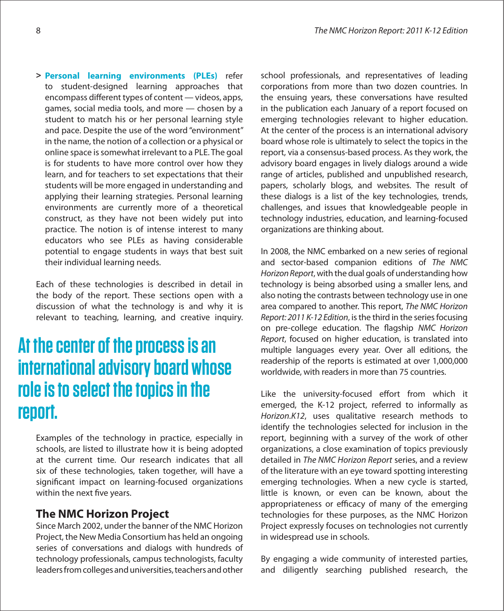**> Personal learning environments (PLEs)** refer to student-designed learning approaches that encompass different types of content — videos, apps, games, social media tools, and more — chosen by a student to match his or her personal learning style and pace. Despite the use of the word "environment" in the name, the notion of a collection or a physical or online space is somewhat irrelevant to a PLE. The goal is for students to have more control over how they learn, and for teachers to set expectations that their students will be more engaged in understanding and applying their learning strategies. Personal learning environments are currently more of a theoretical construct, as they have not been widely put into practice. The notion is of intense interest to many educators who see PLEs as having considerable potential to engage students in ways that best suit their individual learning needs.

Each of these technologies is described in detail in the body of the report. These sections open with a discussion of what the technology is and why it is relevant to teaching, learning, and creative inquiry.

# **At the center of the process is an international advisory board whose role is to select the topics in the report.**

Examples of the technology in practice, especially in schools, are listed to illustrate how it is being adopted at the current time. Our research indicates that all six of these technologies, taken together, will have a significant impact on learning-focused organizations within the next five years.

## **The NMC Horizon Project**

Since March 2002, under the banner of the NMC Horizon Project, the New Media Consortium has held an ongoing series of conversations and dialogs with hundreds of technology professionals, campus technologists, faculty leaders from colleges and universities, teachers and other

school professionals, and representatives of leading corporations from more than two dozen countries. In the ensuing years, these conversations have resulted in the publication each January of a report focused on emerging technologies relevant to higher education. At the center of the process is an international advisory board whose role is ultimately to select the topics in the report, via a consensus-based process. As they work, the advisory board engages in lively dialogs around a wide range of articles, published and unpublished research, papers, scholarly blogs, and websites. The result of these dialogs is a list of the key technologies, trends, challenges, and issues that knowledgeable people in technology industries, education, and learning-focused organizations are thinking about.

In 2008, the NMC embarked on a new series of regional and sector-based companion editions of The NMC Horizon Report, with the dual goals of understanding how technology is being absorbed using a smaller lens, and also noting the contrasts between technology use in one area compared to another. This report, The NMC Horizon Report: 2011 K-12 Edition, is the third in the series focusing on pre-college education. The flagship NMC Horizon Report, focused on higher education, is translated into multiple languages every year. Over all editions, the readership of the reports is estimated at over 1,000,000 worldwide, with readers in more than 75 countries.

Like the university-focused effort from which it emerged, the K-12 project, referred to informally as Horizon.K12, uses qualitative research methods to identify the technologies selected for inclusion in the report, beginning with a survey of the work of other organizations, a close examination of topics previously detailed in The NMC Horizon Report series, and a review of the literature with an eye toward spotting interesting emerging technologies. When a new cycle is started, little is known, or even can be known, about the appropriateness or efficacy of many of the emerging technologies for these purposes, as the NMC Horizon Project expressly focuses on technologies not currently in widespread use in schools.

By engaging a wide community of interested parties, and diligently searching published research, the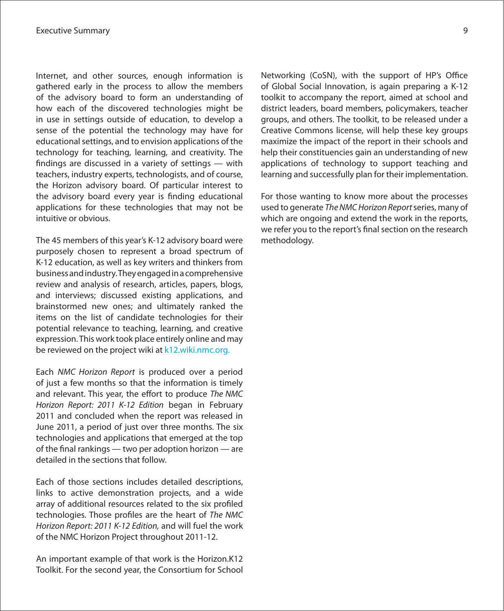Internet, and other sources, enough information is gathered early in the process to allow the members of the advisory board to form an understanding of how each of the discovered technologies might be in use in settings outside of education, to develop a sense of the potential the technology may have for educational settings, and to envision applications of the technology for teaching, learning, and creativity. The findings are discussed in a variety of settings  $-$  with teachers, industry experts, technologists, and of course, the Horizon advisory board. Of particular interest to the advisory board every year is finding educational applications for these technologies that may not be intuitive or obvious.

The 45 members of this year's K-12 advisory board were purposely chosen to represent a broad spectrum of K-12 education, as well as key writers and thinkers from businessandindustry.Theyengagedinacomprehensive review and analysis of research, articles, papers, blogs, and interviews; discussed existing applications, and brainstormed new ones; and ultimately ranked the items on the list of candidate technologies for their potential relevance to teaching, learning, and creative expression. This work took place entirely online and may be reviewed on the project wiki at k[12.wiki.nmc.org.](http://k12.wiki.nmc.org)

Each NMC Horizon Report is produced over a period of just a few months so that the information is timely and relevant. This year, the effort to produce The NMC Horizon Report: 2011 K-12 Edition began in February 2011 and concluded when the report was released in June 2011, a period of just over three months. The six technologies and applications that emerged at the top of the final rankings  $-$  two per adoption horizon  $-$  are detailed in the sections that follow.

Each of those sections includes detailed descriptions, links to active demonstration projects, and a wide array of additional resources related to the six profiled technologies. Those profiles are the heart of The NMC Horizon Report: 2011 K-12 Edition, and will fuel the work of the NMC Horizon Project throughout 2011-12.

An important example of that work is the Horizon.K12 Toolkit. For the second year, the Consortium for School Networking (CoSN), with the support of HP's Office of Global Social Innovation, is again preparing a K-12 toolkit to accompany the report, aimed at school and district leaders, board members, policymakers, teacher groups, and others. The toolkit, to be released under a Creative Commons license, will help these key groups maximize the impact of the report in their schools and help their constituencies gain an understanding of new applications of technology to support teaching and learning and successfully plan for their implementation.

For those wanting to know more about the processes used to generate The NMC Horizon Report series, many of which are ongoing and extend the work in the reports, we refer you to the report's final section on the research methodology.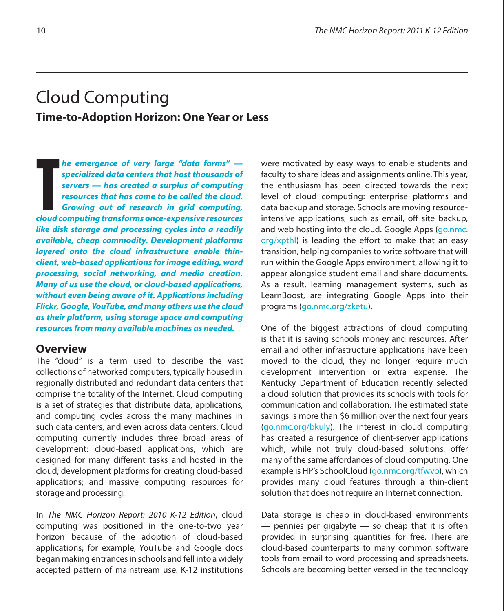## Cloud Computing **Time-to-Adoption Horizon: One Year or Less**

**he emergence of very large "data farms" specialized data centers that host thousands of servers — has created a surplus of computing resources that has come to be called the cloud. Growing out of research in grid computing, cloud computes 1 c**<br>**c** specialized data centers that host thousands of<br>**servers** — has created a surplus of computing<br>resources that has come to be called the cloud.<br>Growing out of research in grid computing,<br>cloud com **like disk storage and processing cycles into a readily available, cheap commodity. Development platforms layered onto the cloud infrastructure enable thinclient, web-based applications for image editing, word processing, social networking, and media creation. Many of us use the cloud, or cloud-based applications, without even being aware of it. Applications including Flickr, Google, YouTube, and many others use the cloud as their platform, using storage space and computing resources from many available machines as needed.**

## **Overview**

The "cloud" is a term used to describe the vast collections of networked computers, typically housed in regionally distributed and redundant data centers that comprise the totality of the Internet. Cloud computing is a set of strategies that distribute data, applications, and computing cycles across the many machines in such data centers, and even across data centers. Cloud computing currently includes three broad areas of development: cloud-based applications, which are designed for many different tasks and hosted in the cloud; development platforms for creating cloud-based applications; and massive computing resources for storage and processing.

In The NMC Horizon Report: 2010 K-12 Edition, cloud computing was positioned in the one-to-two year horizon because of the adoption of cloud-based applications; for example, YouTube and Google docs began making entrances in schools and fell into a widely accepted pattern of mainstream use. K-12 institutions were motivated by easy ways to enable students and faculty to share ideas and assignments online. This year, the enthusiasm has been directed towards the next level of cloud computing: enterprise platforms and data backup and storage. Schools are moving resourceintensive applications, such as email, off site backup, and web hosting into the cloud. Google Apps ([go.nmc.](http://go.nmc.org/xpthl) [org/xpthl\)](http://go.nmc.org/xpthl) is leading the effort to make that an easy transition, helping companies to write software that will run within the Google Apps environment, allowing it to appear alongside student email and share documents. As a result, learning management systems, such as LearnBoost, are integrating Google Apps into their programs (g[o.nmc.org/zketu\).](http://go.nmc.org/zketu)

One of the biggest attractions of cloud computing is that it is saving schools money and resources. After email and other infrastructure applications have been moved to the cloud, they no longer require much development intervention or extra expense. The Kentucky Department of Education recently selected a cloud solution that provides its schools with tools for communication and collaboration. The estimated state savings is more than \$6 million over the next four years (g[o.nmc.org/bkuly\).](http://go.nmc.org/bkuly) The interest in cloud computing has created a resurgence of client-server applications which, while not truly cloud-based solutions, offer many of the same affordances of cloud computing. One example is HP's SchoolCloud ([go.nmc.org/tfwvo\)](http://go.nmc.org/tfwvo), which provides many cloud features through a thin-client solution that does not require an Internet connection.

Data storage is cheap in cloud-based environments  $-$  pennies per gigabyte  $-$  so cheap that it is often provided in surprising quantities for free. There are cloud-based counterparts to many common software tools from email to word processing and spreadsheets. Schools are becoming better versed in the technology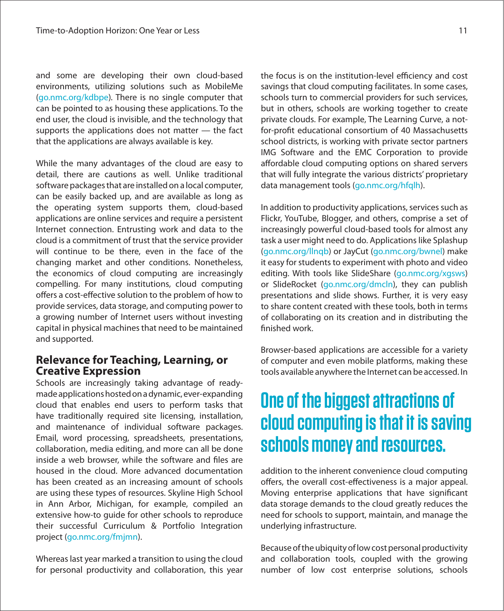and some are developing their own cloud-based environments, utilizing solutions such as MobileMe (g[o.nmc.org/kdbpe\)](http://go.nmc.org/kdbpe). There is no single computer that can be pointed to as housing these applications. To the end user, the cloud is invisible, and the technology that supports the applications does not matter — the fact that the applications are always available is key.

While the many advantages of the cloud are easy to detail, there are cautions as well. Unlike traditional software packages that are installed on a local computer, can be easily backed up, and are available as long as the operating system supports them, cloud-based applications are online services and require a persistent Internet connection. Entrusting work and data to the cloud is a commitment of trust that the service provider will continue to be there, even in the face of the changing market and other conditions. Nonetheless, the economics of cloud computing are increasingly compelling. For many institutions, cloud computing offers a cost-effective solution to the problem of how to provide services, data storage, and computing power to a growing number of Internet users without investing capital in physical machines that need to be maintained and supported.

## **Relevance for Teaching, Learning, or Creative Expression**

Schools are increasingly taking advantage of readymadeapplicationshostedonadynamic,ever-expanding cloud that enables end users to perform tasks that have traditionally required site licensing, installation, and maintenance of individual software packages. Email, word processing, spreadsheets, presentations, collaboration, media editing, and more can all be done inside a web browser, while the software and files are housed in the cloud. More advanced documentation has been created as an increasing amount of schools are using these types of resources. Skyline High School in Ann Arbor, Michigan, for example, compiled an extensive how-to guide for other schools to reproduce their successful Curriculum & Portfolio Integration project ([go.nmc.org/fmjmn\)](http://go.nmc.org/fmjmn).

Whereas last year marked a transition to using the cloud for personal productivity and collaboration, this year

the focus is on the institution-level efficiency and cost savings that cloud computing facilitates. In some cases, schools turn to commercial providers for such services, but in others, schools are working together to create private clouds. For example, The Learning Curve, a notfor-profit educational consortium of 40 Massachusetts school districts, is working with private sector partners IMG Software and the EMC Corporation to provide affordable cloud computing options on shared servers that will fully integrate the various districts' proprietary data management tools ([go.nmc.org/hfqlh\)](http://go.nmc.org/hfqlh).

In addition to productivity applications, services such as Flickr, YouTube, Blogger, and others, comprise a set of increasingly powerful cloud-based tools for almost any task a user might need to do. Applications like Splashup (g[o.nmc.org/llnqb\)](http://go.nmc.org/llnqb) or JayCut ([go.nmc.org/bwnel\)](http://go.nmc.org/bwnel) make it easy for students to experiment with photo and video editing. With tools like SlideShare (g[o.nmc.org/xgsws\)](http://go.nmc.org/xgsws) or SlideRocket (g[o.nmc.org/dmcln\),](http://go.nmc.org/dmcln) they can publish presentations and slide shows. Further, it is very easy to share content created with these tools, both in terms of collaborating on its creation and in distributing the finished work.

Browser-based applications are accessible for a variety of computer and even mobile platforms, making these tools available anywhere the Internet canbe accessed. In

# **One of the biggest attractions of cloud computing is that it is saving schools money and resources.**

addition to the inherent convenience cloud computing offers, the overall cost-effectiveness is a major appeal. Moving enterprise applications that have significant data storage demands to the cloud greatly reduces the need for schools to support, maintain, and manage the underlying infrastructure.

Because of the ubiquity of low cost personal productivity and collaboration tools, coupled with the growing number of low cost enterprise solutions, schools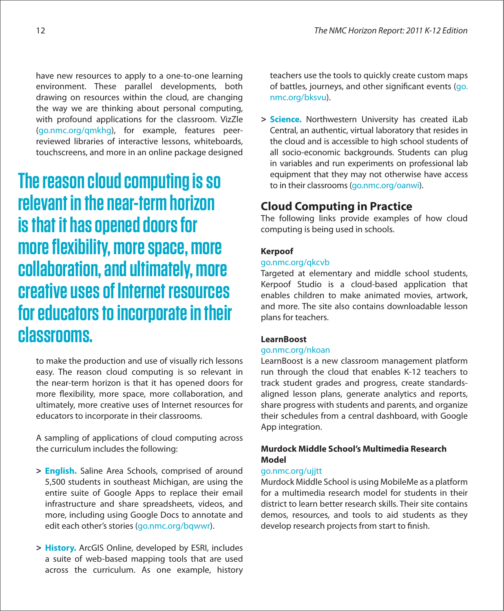have new resources to apply to a one-to-one learning environment. These parallel developments, both drawing on resources within the cloud, are changing the way we are thinking about personal computing, with profound applications for the classroom. VizZle (g[o.nmc.org/qmkhg\)](http://go.nmc.org/qmkhg), for example, features peerreviewed libraries of interactive lessons, whiteboards, touchscreens, and more in an online package designed

**The reason cloud computing is so relevant in the near-term horizon is that it has opened doors for more flexibility, more space, more collaboration, and ultimately, more creative uses of Internet resources for educators to incorporate in their classrooms.**

to make the production and use of visually rich lessons easy. The reason cloud computing is so relevant in the near-term horizon is that it has opened doors for more flexibility, more space, more collaboration, and ultimately, more creative uses of Internet resources for educators to incorporate in their classrooms.

A sampling of applications of cloud computing across the curriculum includes the following:

- **> English.** Saline Area Schools, comprised of around 5,500 students in southeast Michigan, are using the entire suite of Google Apps to replace their email infrastructure and share spreadsheets, videos, and more, including using Google Docs to annotate and edit each other's stories (g[o.nmc.org/bqwwr\).](http://go.nmc.org/bqwwr)
- **> History.** ArcGIS Online, developed by ESRI, includes a suite of web-based mapping tools that are used across the curriculum. As one example, history

teachers use the tools to quickly create custom maps of battles, journeys, and other significant events ([go.](http://go.nmc.org/bksvu) [nmc.org/bksvu\)](http://go.nmc.org/bksvu).

**> Science.** Northwestern University has created iLab Central, an authentic, virtual laboratory that resides in the cloud and is accessible to high school students of all socio-economic backgrounds. Students can plug in variables and run experiments on professional lab equipment that they may not otherwise have access to in their classrooms ([go.nmc.org/oanwi\).](http://go.nmc.org/oanwi)

## **Cloud Computing in Practice**

The following links provide examples of how cloud computing is being used in schools.

## **Kerpoof**

## [go.nmc.org/qkcvb](http://go.nmc.org/qkcvb)

Targeted at elementary and middle school students, Kerpoof Studio is a cloud-based application that enables children to make animated movies, artwork, and more. The site also contains downloadable lesson plans for teachers.

## **LearnBoost**

## [go.nmc.org/nkoan](http://go.nmc.org/nkoan)

LearnBoost is a new classroom management platform run through the cloud that enables K-12 teachers to track student grades and progress, create standardsaligned lesson plans, generate analytics and reports, share progress with students and parents, and organize their schedules from a central dashboard, with Google App integration.

## **Murdock Middle School's Multimedia Research Model**

## [go.nmc.org/ujjtt](http://go.nmc.org/ujjtt)

Murdock Middle School is using MobileMe as a platform for a multimedia research model for students in their district to learn better research skills. Their site contains demos, resources, and tools to aid students as they develop research projects from start to finish.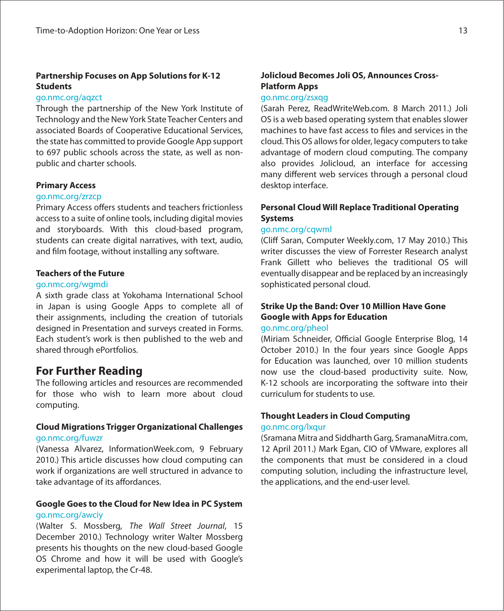## **Partnership Focuses on App Solutions for K-12 Students**

## [go.nmc.org/aqzct](http://go.nmc.org/aqzct)

Through the partnership of the New York Institute of Technology and the NewYork State Teacher Centers and associated Boards of Cooperative Educational Services, the state has committed to provide Google App support to 697 public schools across the state, as well as nonpublic and charter schools.

## **Primary Access**

## [go.nmc.org/zrzcp](http://go.nmc.org/zrzcp)

Primary Access offers students and teachers frictionless accessto a suite of online tools, including digital movies and storyboards. With this cloud-based program, students can create digital narratives, with text, audio, and film footage, without installing any software.

## **Teachers of the Future**

## [go.nmc.org/wgmdi](http://go.nmc.org/wgmdi)

A sixth grade class at Yokohama International School in Japan is using Google Apps to complete all of their assignments, including the creation of tutorials designed in Presentation and surveys created in Forms. Each student's work is then published to the web and shared through ePortfolios.

## **For Further Reading**

The following articles and resources are recommended for those who wish to learn more about cloud computing.

## **Cloud Migrations Trigger Organizational Challenges** [go.nmc.org/fuwzr](http://go.nmc.org/fuwzr)

(Vanessa Alvarez, InformationWeek.com, 9 February 2010.) This article discusses how cloud computing can work if organizations are well structured in advance to take advantage of its affordances.

## **Google Goes to the Cloud for New Idea in PC System** go.nmc.org/awciy

(Walter S. Mossberg, The Wall Street Journal, 15 December 2010.) Technology writer Walter Mossberg presents his thoughts on the new cloud-based Google OS Chrome and how it will be used with Google's experimental laptop, the Cr-48.

## **Jolicloud Becomes Joli OS, Announces Cross-Platform Apps**

## [go.nmc.org/zsxqg](http://go.nmc.org/zsxqg)

(Sarah Perez, ReadWriteWeb.com. 8 March 2011.) Joli OS is a web based operating system that enables slower machines to have fast access to files and services in the cloud. This OS allowsfor older, legacy computersto take advantage of modern cloud computing. The company also provides Jolicloud, an interface for accessing many different web services through a personal cloud desktop interface.

## **Personal Cloud Will Replace Traditional Operating Systems**

## [go.nmc.org/cqwml](http://go.nmc.org/cqwml)

(Cliff Saran, Computer Weekly.com, 17 May 2010.) This writer discusses the view of Forrester Research analyst Frank Gillett who believes the traditional OS will eventually disappear and be replaced by an increasingly sophisticated personal cloud.

## **Strike Up the Band: Over 10 Million Have Gone Google with Apps for Education**

## [go.nmc.org/pheol](http://go.nmc.org/pheol)

(Miriam Schneider, Official Google Enterprise Blog, 14 October 2010.) In the four years since Google Apps for Education was launched, over 10 million students now use the cloud-based productivity suite. Now, K-12 schools are incorporating the software into their curriculum for students to use.

## **Thought Leaders in Cloud Computing**

## [go.nmc.org/lxqur](http://go.nmc.org/lxqur)

(Sramana Mitra and Siddharth Garg, SramanaMitra.com, 12 April 2011.) Mark Egan, CIO of VMware, explores all the components that must be considered in a cloud computing solution, including the infrastructure level, the applications, and the end-user level.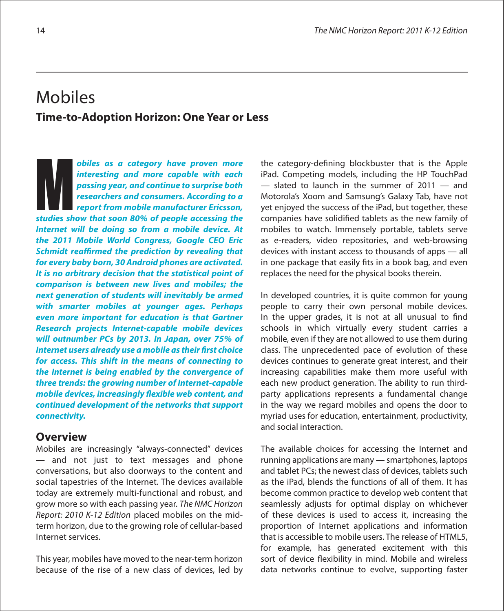## Mobiles **Time-to-Adoption Horizon: One Year or Less**

**obiles as a category have proven more interesting and more capable with each passing year, and continue to surprise both researchers and consumers. According to a report from mobile manufacturer Ericsson, show that solution** objects as a category have proven more interesting and more capable with each passing year, and continue to surprise both researchers and consumers. According to a report from mobile manufacturer Erics **Internet will be doing so from a mobile device. At the 2011 Mobile World Congress, Google CEO Eric Schmidt reaffirmed the prediction by revealing that for every baby born, 30 Android phones are activated. It is no arbitrary decision that the statistical point of comparison is between new lives and mobiles; the next generation of students will inevitably be armed with smarter mobiles at younger ages. Perhaps even more important for education is that Gartner Research projects Internet-capable mobile devices will outnumber PCs by 2013. In Japan, over 75% of Internet users already use a mobile as their first choice for access. This shift in the means of connecting to the Internet is being enabled by the convergence of three trends: the growing number of Internet-capable mobile devices, increasingly #exible web content, and continued development of the networks that support connectivity.**

## **Overview**

Mobiles are increasingly "always-connected" devices — and not just to text messages and phone conversations, but also doorways to the content and social tapestries of the Internet. The devices available today are extremely multi-functional and robust, and grow more so with each passing year. The NMC Horizon Report: 2010 K-12 Edition placed mobiles on the midterm horizon, due to the growing role of cellular-based Internet services.

This year, mobiles have moved to the near-term horizon because of the rise of a new class of devices, led by the category-defining blockbuster that is the Apple iPad. Competing models, including the HP TouchPad — slated to launch in the summer of 2011 — and Motorola's Xoom and Samsung's Galaxy Tab, have not yet enjoyed the success of the iPad, but together, these companies have solidified tablets as the new family of mobiles to watch. Immensely portable, tablets serve as e-readers, video repositories, and web-browsing devices with instant access to thousands of apps — all in one package that easily fits in a book bag, and even replaces the need for the physical books therein.

In developed countries, it is quite common for young people to carry their own personal mobile devices. In the upper grades, it is not at all unusual to find schools in which virtually every student carries a mobile, even if they are not allowed to use them during class. The unprecedented pace of evolution of these devices continues to generate great interest, and their increasing capabilities make them more useful with each new product generation. The ability to run thirdparty applications represents a fundamental change in the way we regard mobiles and opens the door to myriad uses for education, entertainment, productivity, and social interaction.

The available choices for accessing the Internet and running applications are many — smartphones, laptops and tablet PCs; the newest class of devices, tablets such as the iPad, blends the functions of all of them. It has become common practice to develop web content that seamlessly adjusts for optimal display on whichever of these devices is used to access it, increasing the proportion of Internet applications and information that is accessible to mobile users. The release of HTML5, for example, has generated excitement with this sort of device flexibility in mind. Mobile and wireless data networks continue to evolve, supporting faster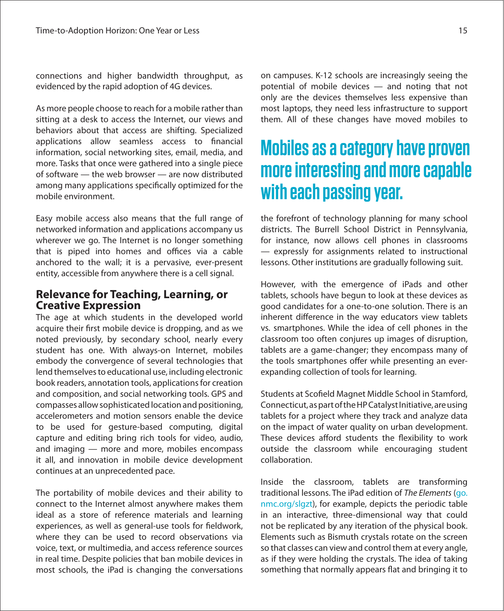connections and higher bandwidth throughput, as evidenced by the rapid adoption of 4G devices.

As more people choose to reach for a mobile rather than sitting at a desk to access the Internet, our views and behaviors about that access are shifting. Specialized applications allow seamless access to financial information, social networking sites, email, media, and more. Tasks that once were gathered into a single piece of software — the web browser — are now distributed among many applications specifically optimized for the mobile environment.

Easy mobile access also means that the full range of networked information and applications accompany us wherever we go. The Internet is no longer something that is piped into homes and offices via a cable anchored to the wall; it is a pervasive, ever-present entity, accessible from anywhere there is a cell signal.

## **Relevance for Teaching, Learning, or Creative Expression**

The age at which students in the developed world acquire their first mobile device is dropping, and as we noted previously, by secondary school, nearly every student has one. With always-on Internet, mobiles embody the convergence of several technologies that lend themselvesto educational use, including electronic book readers, annotation tools, applications for creation and composition, and social networking tools. GPS and compasses allow sophisticated location and positioning, accelerometers and motion sensors enable the device to be used for gesture-based computing, digital capture and editing bring rich tools for video, audio, and imaging — more and more, mobiles encompass it all, and innovation in mobile device development continues at an unprecedented pace.

The portability of mobile devices and their ability to connect to the Internet almost anywhere makes them ideal as a store of reference materials and learning experiences, as well as general-use tools for fieldwork, where they can be used to record observations via voice, text, or multimedia, and access reference sources in real time. Despite policies that ban mobile devices in most schools, the iPad is changing the conversations

on campuses. K-12 schools are increasingly seeing the potential of mobile devices — and noting that not only are the devices themselves less expensive than most laptops, they need less infrastructure to support them. All of these changes have moved mobiles to

# **Mobiles as a category have proven more interesting and more capable with each passing year.**

the forefront of technology planning for many school districts. The Burrell School District in Pennsylvania, for instance, now allows cell phones in classrooms — expressly for assignments related to instructional lessons. Other institutions are gradually following suit.

However, with the emergence of iPads and other tablets, schools have begun to look at these devices as good candidates for a one-to-one solution. There is an inherent difference in the way educators view tablets vs. smartphones. While the idea of cell phones in the classroom too often conjures up images of disruption, tablets are a game-changer; they encompass many of the tools smartphones offer while presenting an everexpanding collection of tools for learning.

Students at Scofield Magnet Middle School in Stamford, Connecticut,aspartoftheHPCatalystInitiative,areusing tablets for a project where they track and analyze data on the impact of water quality on urban development. These devices afford students the flexibility to work outside the classroom while encouraging student collaboration.

Inside the classroom, tablets are transforming traditional lessons. The iPad edition of The Elements ([go.](http://go.nmc.org/slgzt) [nmc.org/slgzt\)](http://go.nmc.org/slgzt), for example, depicts the periodic table in an interactive, three-dimensional way that could not be replicated by any iteration of the physical book. Elements such as Bismuth crystals rotate on the screen so that classes can view and control them at every angle, as if they were holding the crystals. The idea of taking something that normally appears flat and bringing it to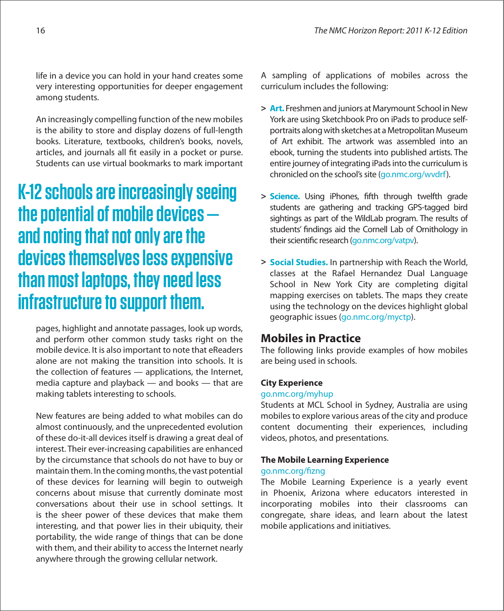life in a device you can hold in your hand creates some very interesting opportunities for deeper engagement among students.

An increasingly compelling function of the new mobiles is the ability to store and display dozens of full-length books. Literature, textbooks, children's books, novels, articles, and journals all fit easily in a pocket or purse. Students can use virtual bookmarks to mark important

# **K-12 schools are increasingly seeing the potential of mobile devices and noting that not only are the devices themselves less expensive than most laptops, they need less infrastructure to support them.**

pages, highlight and annotate passages, look up words, and perform other common study tasks right on the mobile device. It is also important to note that eReaders alone are not making the transition into schools. It is the collection of features — applications, the Internet, media capture and playback — and books — that are making tablets interesting to schools.

New features are being added to what mobiles can do almost continuously, and the unprecedented evolution of these do-it-all devices itself is drawing a great deal of interest. Their ever-increasing capabilities are enhanced by the circumstance that schools do not have to buy or maintain them. In the coming months, the vast potential of these devices for learning will begin to outweigh concerns about misuse that currently dominate most conversations about their use in school settings. It is the sheer power of these devices that make them interesting, and that power lies in their ubiquity, their portability, the wide range of things that can be done with them, and their ability to access the Internet nearly anywhere through the growing cellular network.

A sampling of applications of mobiles across the curriculum includes the following:

- **> Art.** Freshmen and juniors at Marymount School in New York are using Sketchbook Pro on iPads to produce selfportraits along with sketches at a Metropolitan Museum of Art exhibit. The artwork was assembled into an ebook, turning the students into published artists. The entire journey of integrating iPadsinto the curriculum is chronicled on the school's site (go.nmc.org/wydrf).
- > **Science.** Using iPhones, fifth through twelfth grade students are gathering and tracking GPS-tagged bird sightings as part of the WildLab program. The results of students' findings aid the Cornell Lab of Ornithology in their scientific research ([go.nmc.org/vatpv\)](http://go.nmc.org/vatpv).
- **> Social Studies.** In partnership with Reach the World, classes at the Rafael Hernandez Dual Language School in New York City are completing digital mapping exercises on tablets. The maps they create using the technology on the devices highlight global geographic issues ([go.nmc.org/myctp\).](http://go.nmc.org/myctp)

## **Mobiles in Practice**

The following links provide examples of how mobiles are being used in schools.

## **City Experience**

## [go.nmc.org/myhup](http://go.nmc.org/myhup)

Students at MCL School in Sydney, Australia are using mobiles to explore various areas of the city and produce content documenting their experiences, including videos, photos, and presentations.

## **The Mobile Learning Experience**

## go.nmc.org/fizng

The Mobile Learning Experience is a yearly event in Phoenix, Arizona where educators interested in incorporating mobiles into their classrooms can congregate, share ideas, and learn about the latest mobile applications and initiatives.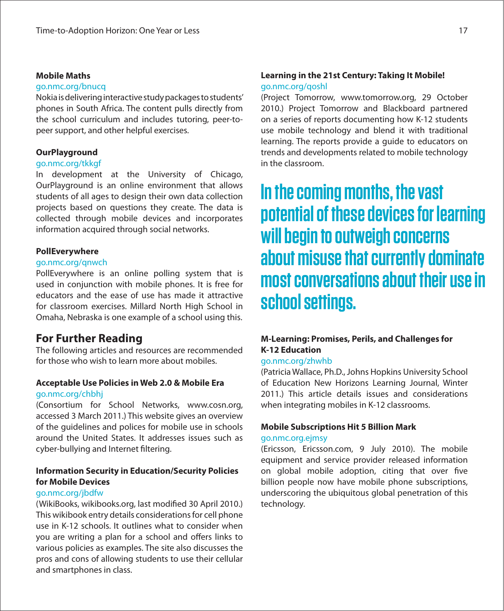## **Mobile Maths**

## [go.nmc.org/bnucq](http://go.nmc.org/bnucq)

Nokiaisdeliveringinteractivestudypackagestostudents' phones in South Africa. The content pulls directly from the school curriculum and includes tutoring, peer-topeer support, and other helpful exercises.

## **OurPlayground**

## [go.nmc.org/tkkgf](http://go.nmc.org/tkkgf)

In development at the University of Chicago, OurPlayground is an online environment that allows students of all ages to design their own data collection projects based on questions they create. The data is collected through mobile devices and incorporates information acquired through social networks.

## **PollEverywhere**

## [go.nmc.org/qnwch](http://go.nmc.org/qnwuh)

PollEverywhere is an online polling system that is used in conjunction with mobile phones. It is free for educators and the ease of use has made it attractive for classroom exercises. Millard North High School in Omaha, Nebraska is one example of a school using this.

## **For Further Reading**

The following articles and resources are recommended for those who wish to learn more about mobiles.

## **Acceptable Use Policies in Web 2.0 & Mobile Era** [go.nmc.org/chbhj](http://go.nmc.org/chbhj)

(Consortium for School Networks, www.cosn.org, accessed 3 March 2011.) This website gives an overview of the guidelines and polices for mobile use in schools around the United States. It addresses issues such as cyber-bullying and Internet filtering.

## **Information Security in Education/Security Policies for Mobile Devices**

## [go.nmc.org/jbdfw](http://go.nmc.org/jbdfw)

(WikiBooks, wikibooks.org, last modified 30 April 2010.) This wikibook entry details considerationsfor cell phone use in K-12 schools. It outlines what to consider when you are writing a plan for a school and offers links to various policies as examples. The site also discusses the pros and cons of allowing students to use their cellular and smartphones in class.

## **Learning in the 21st Century: Taking It Mobile!**

## [go.nmc.org/qoshl](http://go.nmc.org/qoshl)

(Project Tomorrow, www.tomorrow.org, 29 October 2010.) Project Tomorrow and Blackboard partnered on a series of reports documenting how K-12 students use mobile technology and blend it with traditional learning. The reports provide a guide to educators on trends and developments related to mobile technology in the classroom.

# **In the coming months, the vast potential of these devices for learning will begin to outweigh concerns about misuse that currently dominate most conversations about their use in school settings.**

## **M-Learning: Promises, Perils, and Challenges for K-12 Education**

## [go.nmc.org/zhwhb](http://go.nmc.org/zhwhb)

(Patricia Wallace, Ph.D., Johns Hopkins University School of Education New Horizons Learning Journal, Winter 2011.) This article details issues and considerations when integrating mobiles in K-12 classrooms.

## **Mobile Subscriptions Hit 5 Billion Mark**

## [go.nmc.org.ejmsy](http://go.nmc.org/ejmsy)

(Ericsson, Ericsson.com, 9 July 2010). The mobile equipment and service provider released information on global mobile adoption, citing that over five billion people now have mobile phone subscriptions, underscoring the ubiquitous global penetration of this technology.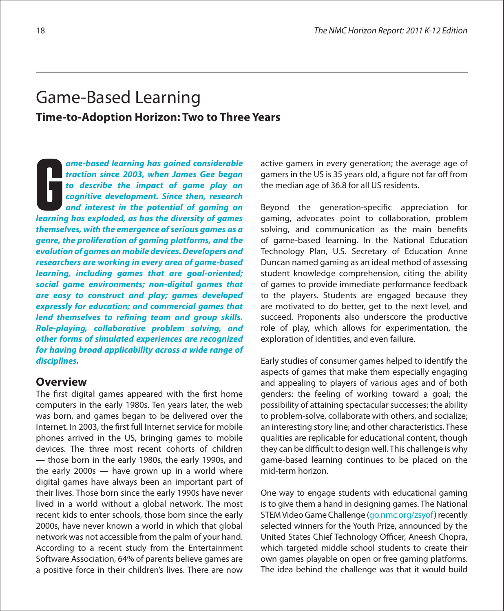## Game-Based Learning **Time-to-Adoption Horizon: Two to Three Years**

**ame-based learning has gained considerable traction since 2003, when James Gee began to describe the impact of game play on cognitive development. Since then, research and interest in the potential of gaming on learning has gained considerable traction since 2003, when James Gee began to describe the impact of game play on cognitive development. Since then, research and interest in the potential of gaming on learning has explode themselves, with the emergence of serious games as a genre, the proliferation of gaming platforms, and the evolution of games on mobile devices. Developers and researchers are working in every area of game-based learning, including games that are goal-oriented; social game environments; non-digital games that are easy to construct and play; games developed expressly for education; and commercial games that**  lend themselves to refining team and group skills. **Role-playing, collaborative problem solving, and other forms of simulated experiences are recognized for having broad applicability across a wide range of disciplines.**

## **Overview**

The first digital games appeared with the first home computers in the early 1980s. Ten years later, the web was born, and games began to be delivered over the Internet. In 2003, the first full Internet service for mobile phones arrived in the US, bringing games to mobile devices. The three most recent cohorts of children — those born in the early 1980s, the early 1990s, and the early 2000s — have grown up in a world where digital games have always been an important part of their lives. Those born since the early 1990s have never lived in a world without a global network. The most recent kids to enter schools, those born since the early 2000s, have never known a world in which that global network was not accessible from the palm of your hand. According to a recent study from the Entertainment Software Association, 64% of parents believe games are a positive force in their children's lives. There are now

active gamers in every generation; the average age of gamers in the US is 35 years old, a figure not far off from the median age of 36.8 for all US residents.

Beyond the generation-specific appreciation for gaming, advocates point to collaboration, problem solving, and communication as the main benefits of game-based learning. In the National Education Technology Plan, U.S. Secretary of Education Anne Duncan named gaming as an ideal method of assessing student knowledge comprehension, citing the ability of games to provide immediate performance feedback to the players. Students are engaged because they are motivated to do better, get to the next level, and succeed. Proponents also underscore the productive role of play, which allows for experimentation, the exploration of identities, and even failure.

Early studies of consumer games helped to identify the aspects of games that make them especially engaging and appealing to players of various ages and of both genders: the feeling of working toward a goal; the possibility of attaining spectacular successes; the ability to problem-solve, collaborate with others, and socialize; an interesting story line; and other characteristics. These qualities are replicable for educational content, though they can be difficult to design well. This challenge is why game-based learning continues to be placed on the mid-term horizon.

One way to engage students with educational gaming is to give them a hand in designing games. The National STEM Video Game Challenge (g[o.nmc.org/zsyof\)](http://go.nmc.org/zsyof) recently selected winners for the Youth Prize, announced by the United States Chief Technology Officer, Aneesh Chopra, which targeted middle school students to create their own games playable on open or free gaming platforms. The idea behind the challenge was that it would build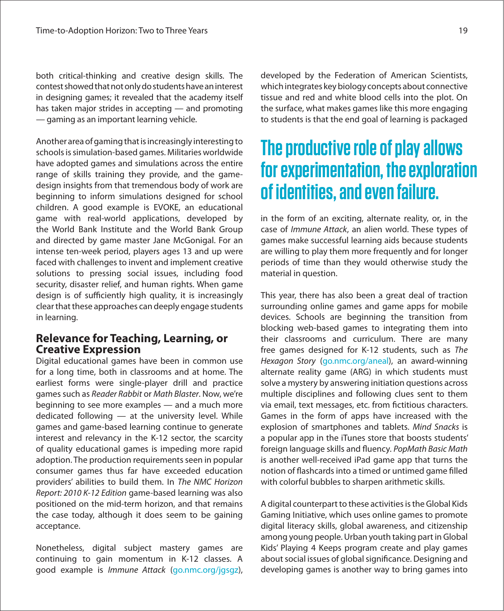both critical-thinking and creative design skills. The contest showed that not only do students have an interest in designing games; it revealed that the academy itself has taken major strides in accepting — and promoting — gaming as an important learning vehicle.

Another area of gaming that is increasingly interesting to schools is simulation-based games. Militaries worldwide have adopted games and simulations across the entire range of skills training they provide, and the gamedesign insights from that tremendous body of work are beginning to inform simulations designed for school children. A good example is EVOKE, an educational game with real-world applications, developed by the World Bank Institute and the World Bank Group and directed by game master Jane McGonigal. For an intense ten-week period, players ages 13 and up were faced with challenges to invent and implement creative solutions to pressing social issues, including food security, disaster relief, and human rights. When game design is of sufficiently high quality, it is increasingly clear that these approaches can deeply engage students in learning.

## **Relevance for Teaching, Learning, or Creative Expression**

Digital educational games have been in common use for a long time, both in classrooms and at home. The earliest forms were single-player drill and practice games such as Reader Rabbit or Math Blaster. Now, we're beginning to see more examples — and a much more dedicated following — at the university level. While games and game-based learning continue to generate interest and relevancy in the K-12 sector, the scarcity of quality educational games is impeding more rapid adoption. The production requirements seen in popular consumer games thus far have exceeded education providers' abilities to build them. In The NMC Horizon Report: 2010 K-12 Edition game-based learning was also positioned on the mid-term horizon, and that remains the case today, although it does seem to be gaining acceptance.

Nonetheless, digital subject mastery games are continuing to gain momentum in K-12 classes. A good example is Immune Attack ([go.nmc.org/jgsgz\)](http://go.nmc.org/jgsgz), developed by the Federation of American Scientists, which integrates key biology concepts about connective tissue and red and white blood cells into the plot. On the surface, what makes games like this more engaging to students is that the end goal of learning is packaged

# **The productive role of play allows for experimentation, the exploration of identities, and even failure.**

in the form of an exciting, alternate reality, or, in the case of Immune Attack, an alien world. These types of games make successful learning aids because students are willing to play them more frequently and for longer periods of time than they would otherwise study the material in question.

This year, there has also been a great deal of traction surrounding online games and game apps for mobile devices. Schools are beginning the transition from blocking web-based games to integrating them into their classrooms and curriculum. There are many free games designed for K-12 students, such as The Hexagon Story (g[o.nmc.org/aneal\)](http://go.nmc.org/aneal), an award-winning alternate reality game (ARG) in which students must solve a mystery by answering initiation questions across multiple disciplines and following clues sent to them via email, text messages, etc. from fictitious characters. Games in the form of apps have increased with the explosion of smartphones and tablets. Mind Snacks is a popular app in the iTunes store that boosts students' foreign language skills and fluency. PopMath Basic Math is another well-received iPad game app that turns the notion of flashcards into a timed or untimed game filled with colorful bubbles to sharpen arithmetic skills.

A digital counterpart to these activities is the Global Kids Gaming Initiative, which uses online games to promote digital literacy skills, global awareness, and citizenship among young people. Urban youth taking partin Global Kids' Playing 4 Keeps program create and play games about social issues of global significance. Designing and developing games is another way to bring games into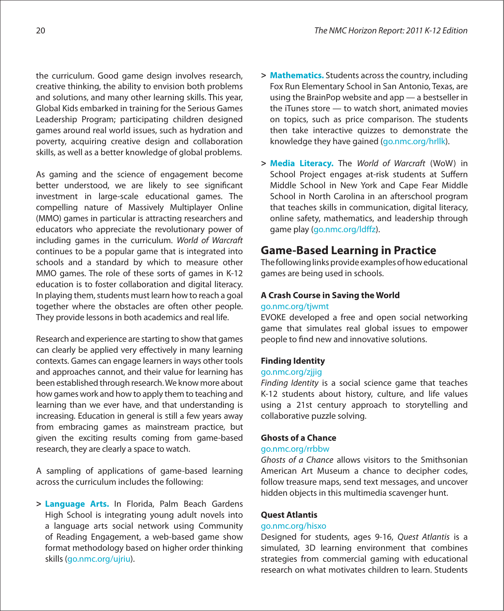the curriculum. Good game design involves research, creative thinking, the ability to envision both problems and solutions, and many other learning skills. This year, Global Kids embarked in training for the Serious Games Leadership Program; participating children designed games around real world issues, such as hydration and poverty, acquiring creative design and collaboration skills, as well as a better knowledge of global problems.

As gaming and the science of engagement become better understood, we are likely to see significant investment in large-scale educational games. The compelling nature of Massively Multiplayer Online (MMO) games in particular is attracting researchers and educators who appreciate the revolutionary power of including games in the curriculum. World of Warcraft continues to be a popular game that is integrated into schools and a standard by which to measure other MMO games. The role of these sorts of games in K-12 education is to foster collaboration and digital literacy. In playing them, students must learn how to reach a goal together where the obstacles are often other people. They provide lessons in both academics and real life.

Research and experience are starting to show that games can clearly be applied very effectively in many learning contexts. Games can engage learners in ways other tools and approaches cannot, and their value for learning has been established through research.We know more about how games work and how to apply them to teaching and learning than we ever have, and that understanding is increasing. Education in general is still a few years away from embracing games as mainstream practice, but given the exciting results coming from game-based research, they are clearly a space to watch.

A sampling of applications of game-based learning across the curriculum includes the following:

**> Language Arts.** In Florida, Palm Beach Gardens High School is integrating young adult novels into a language arts social network using Community of Reading Engagement, a web-based game show format methodology based on higher order thinking skills ([go.nmc.org/ujriu\)](http://go.nmc.org/ujriu).

- **> Mathematics.** Students acrossthe country, including Fox Run Elementary School in San Antonio, Texas, are using the BrainPop website and app — a bestseller in the iTunes store — to watch short, animated movies on topics, such as price comparison. The students then take interactive quizzes to demonstrate the knowledge they have gained ([go.nmc.org/hrllk\)](http://go.nmc.org/hrllk).
- **> Media Literacy.** The World of Warcraft (WoW) in School Project engages at-risk students at Suffern Middle School in New York and Cape Fear Middle School in North Carolina in an afterschool program that teaches skills in communication, digital literacy, online safety, mathematics, and leadership through game play (go.nmc.org/ldffz).

## **Game-Based Learning in Practice**

The following links provide examples of how educational games are being used in schools.

## **A Crash Course in Saving the World**

## [go.nmc.org/tjwmt](http://go.nmc.org/tjwmt)

EVOKE developed a free and open social networking game that simulates real global issues to empower people to find new and innovative solutions.

## **Finding Identity**

## [go.nmc.org/zjjig](http://go.nmc.org/zjjig)

Finding Identity is a social science game that teaches K-12 students about history, culture, and life values using a 21st century approach to storytelling and collaborative puzzle solving.

## **Ghosts of a Chance**

## [go.nmc.org/rrbbw](http://go.nmc.org/rrbbw)

Ghosts of a Chance allows visitors to the Smithsonian American Art Museum a chance to decipher codes, follow treasure maps, send text messages, and uncover hidden objects in this multimedia scavenger hunt.

## **Quest Atlantis**

## [go.nmc.org/hisxo](http://go.nmc.org/hisxo)

Designed for students, ages 9-16, Quest Atlantis is a simulated, 3D learning environment that combines strategies from commercial gaming with educational research on what motivates children to learn. Students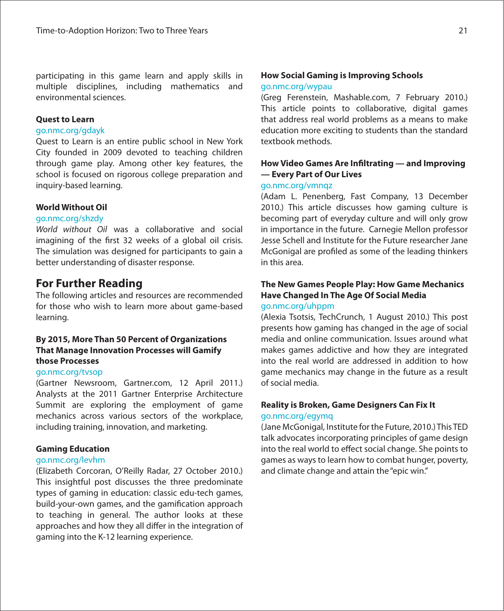participating in this game learn and apply skills in multiple disciplines, including mathematics and environmental sciences.

## **Quest to Learn**

## [go.nmc.org/gdayk](http://go.nmc.org/gdayk)

Quest to Learn is an entire public school in New York City founded in 2009 devoted to teaching children through game play. Among other key features, the school is focused on rigorous college preparation and inquiry-based learning.

## **World Without Oil**

## g[o.nmc.org/shzdy](http://go.nmc.org/shzdy)

World without Oil was a collaborative and social imagining of the first 32 weeks of a global oil crisis. The simulation was designed for participants to gain a better understanding of disaster response.

## **For Further Reading**

The following articles and resources are recommended for those who wish to learn more about game-based learning.

## **By 2015, More Than 50 Percent of Organizations That Manage Innovation Processes will Gamify those Processes**

## [go.nmc.org/tvsop](http://go.nmc.org/tvsop)

(Gartner Newsroom, Gartner.com, 12 April 2011.) Analysts at the 2011 Gartner Enterprise Architecture Summit are exploring the employment of game mechanics across various sectors of the workplace, including training, innovation, and marketing.

## **Gaming Education**

## [go.nmc.org/levhm](http://go.nmc.org/levhm)

(Elizabeth Corcoran, O'Reilly Radar, 27 October 2010.) This insightful post discusses the three predominate types of gaming in education: classic edu-tech games, build-your-own games, and the gamification approach to teaching in general. The author looks at these approaches and how they all differ in the integration of gaming into the K-12 learning experience.

## **How Social Gaming is Improving Schools**

## [go.nmc.org/wypau](http://go.nmc.org/wypau)

(Greg Ferenstein, Mashable.com, 7 February 2010.) This article points to collaborative, digital games that address real world problems as a means to make education more exciting to students than the standard textbook methods.

## **How Video Games Are Infiltrating — and Improving — Every Part of Our Lives**

## [go.nmc.org/vmnqz](http://go.nmc.org/vmnqz)

(Adam L. Penenberg, Fast Company, 13 December 2010.) This article discusses how gaming culture is becoming part of everyday culture and will only grow in importance in the future. Carnegie Mellon professor Jesse Schell and Institute for the Future researcher Jane McGonigal are profiled as some of the leading thinkers in this area.

## **The New Games People Play: How Game Mechanics Have Changed In The Age Of Social Media**

## [go.nmc.org/uhppm](http://go.nmc.org/uhppm)

(Alexia Tsotsis, TechCrunch, 1 August 2010.) This post presents how gaming has changed in the age of social media and online communication. Issues around what makes games addictive and how they are integrated into the real world are addressed in addition to how game mechanics may change in the future as a result of social media.

## **Reality is Broken, Game Designers Can Fix It** [go.nmc.org/egymq](http://go.nmc.org/egymq)

(Jane McGonigal, Institute for the Future, 2010.) This TED talk advocates incorporating principles of game design into the real world to effect social change. She points to games as waysto learn how to combat hunger, poverty, and climate change and attain the "epic win."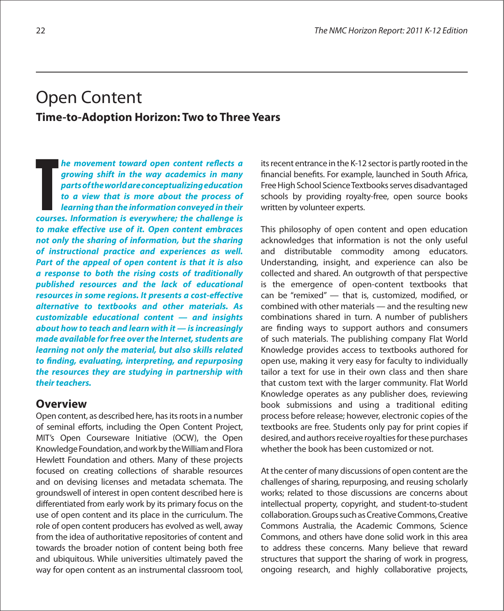## Open Content **Time-to-Adoption Horizon: Two to Three Years**

**he movement toward open content reflects a growing shift in the way academics in many parts of the world are conceptualizing education to a view that is more about the process of learning than the information conveyed in their k** a growing shift in the way academics in many parts of the world are conceptualizing education to a view that is more about the process of learning than the information conveyed in their courses. Information is everywhe to make effective use of it. Open content embraces **not only the sharing of information, but the sharing of instructional practice and experiences as well. Part of the appeal of open content is that it is also a response to both the rising costs of traditionally published resources and the lack of educational resources in some regions. It presents a cost-effective alternative to textbooks and other materials. As customizable educational content — and insights about how to teach and learn with it — is increasingly made available for free over the Internet, students are learning not only the material, but also skills related**  to finding, evaluating, interpreting, and repurposing **the resources they are studying in partnership with their teachers.**

## **Overview**

Open content, as described here, has its roots in a number of seminal efforts, including the Open Content Project, MIT's Open Courseware Initiative (OCW), the Open Knowledge Foundation, and work by the William and Flora Hewlett Foundation and others. Many of these projects focused on creating collections of sharable resources and on devising licenses and metadata schemata. The groundswell of interest in open content described here is differentiated from early work by its primary focus on the use of open content and its place in the curriculum. The role of open content producers has evolved as well, away from the idea of authoritative repositories of content and towards the broader notion of content being both free and ubiquitous. While universities ultimately paved the way for open content as an instrumental classroom tool,

its recent entrance in the K-12 sector is partly rooted in the financial benefits. For example, launched in South Africa, Free High School Science Textbooks serves disadvantaged schools by providing royalty-free, open source books written by volunteer experts.

This philosophy of open content and open education acknowledges that information is not the only useful and distributable commodity among educators. Understanding, insight, and experience can also be collected and shared. An outgrowth of that perspective is the emergence of open-content textbooks that can be "remixed"  $-$  that is, customized, modified, or combined with other materials — and the resulting new combinations shared in turn. A number of publishers are finding ways to support authors and consumers of such materials. The publishing company Flat World Knowledge provides access to textbooks authored for open use, making it very easy for faculty to individually tailor a text for use in their own class and then share that custom text with the larger community. Flat World Knowledge operates as any publisher does, reviewing book submissions and using a traditional editing process before release; however, electronic copies of the textbooks are free. Students only pay for print copies if desired, and authors receive royalties for these purchases whether the book has been customized or not.

At the center of many discussions of open content are the challenges of sharing, repurposing, and reusing scholarly works; related to those discussions are concerns about intellectual property, copyright, and student-to-student collaboration. Groups such as Creative Commons, Creative Commons Australia, the Academic Commons, Science Commons, and others have done solid work in this area to address these concerns. Many believe that reward structures that support the sharing of work in progress, ongoing research, and highly collaborative projects,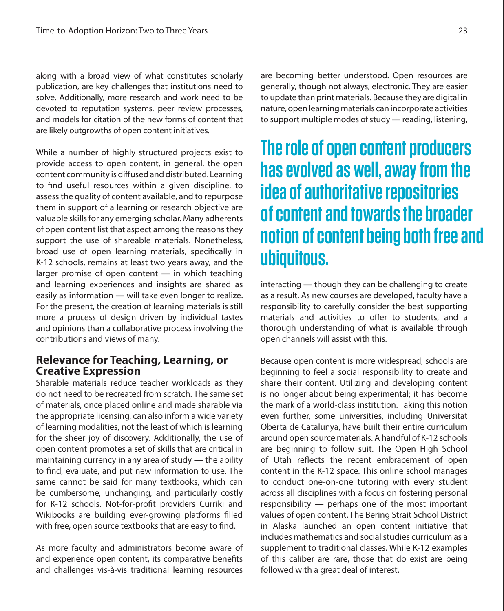along with a broad view of what constitutes scholarly publication, are key challenges that institutions need to solve. Additionally, more research and work need to be devoted to reputation systems, peer review processes, and models for citation of the new forms of content that are likely outgrowths of open content initiatives.

While a number of highly structured projects exist to provide access to open content, in general, the open content community is diffused and distributed. Learning to find useful resources within a given discipline, to assessthe quality of content available, and to repurpose them in support of a learning or research objective are valuable skills for any emerging scholar. Many adherents of open content list that aspect among the reasons they support the use of shareable materials. Nonetheless, broad use of open learning materials, specifically in K-12 schools, remains at least two years away, and the larger promise of open content — in which teaching and learning experiences and insights are shared as easily as information — will take even longer to realize. For the present, the creation of learning materials is still more a process of design driven by individual tastes and opinions than a collaborative process involving the contributions and views of many.

## **Relevance for Teaching, Learning, or Creative Expression**

Sharable materials reduce teacher workloads as they do not need to be recreated from scratch. The same set of materials, once placed online and made sharable via the appropriate licensing, can also inform a wide variety of learning modalities, not the least of which is learning for the sheer joy of discovery. Additionally, the use of open content promotes a set of skills that are critical in maintaining currency in any area of study — the ability to find, evaluate, and put new information to use. The same cannot be said for many textbooks, which can be cumbersome, unchanging, and particularly costly for K-12 schools. Not-for-profit providers Curriki and Wikibooks are building ever-growing platforms filled with free, open source textbooks that are easy to find.

As more faculty and administrators become aware of and experience open content, its comparative benefits and challenges vis-à-vis traditional learning resources

are becoming better understood. Open resources are generally, though not always, electronic. They are easier to update than print materials. Because they are digital in nature, open learning materials can incorporate activities to support multiple modes of study — reading, listening,

# **The role of open content producers has evolved as well, away from the idea of authoritative repositories of content and towards the broader notion of content being both free and ubiquitous.**

interacting — though they can be challenging to create as a result. As new courses are developed, faculty have a responsibility to carefully consider the best supporting materials and activities to offer to students, and a thorough understanding of what is available through open channels will assist with this.

Because open content is more widespread, schools are beginning to feel a social responsibility to create and share their content. Utilizing and developing content is no longer about being experimental; it has become the mark of a world-class institution. Taking this notion even further, some universities, including Universitat Oberta de Catalunya, have built their entire curriculum around open source materials. A handful of K-12 schools are beginning to follow suit. The Open High School of Utah reflects the recent embracement of open content in the K-12 space. This online school manages to conduct one-on-one tutoring with every student across all disciplines with a focus on fostering personal responsibility — perhaps one of the most important values of open content. The Bering Strait School District in Alaska launched an open content initiative that includes mathematics and social studies curriculum as a supplement to traditional classes. While K-12 examples of this caliber are rare, those that do exist are being followed with a great deal of interest.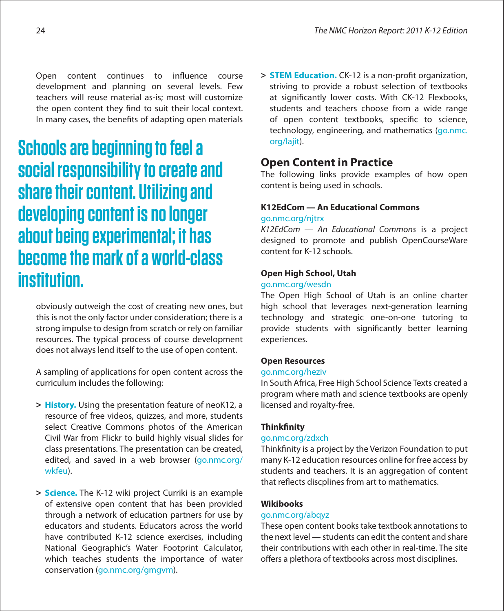Open content continues to influence course development and planning on several levels. Few teachers will reuse material as-is; most will customize the open content they find to suit their local context. In many cases, the benefits of adapting open materials

**Schools are beginning to feel a social responsibility to create and share their content. Utilizing and developing content is no longer about being experimental; it has become the mark of a world-class institution.** 

obviously outweigh the cost of creating new ones, but this is not the only factor under consideration; there is a strong impulse to design from scratch or rely on familiar resources. The typical process of course development does not always lend itself to the use of open content.

A sampling of applications for open content across the curriculum includes the following:

- **> History.** Using the presentation feature of neoK12, a resource of free videos, quizzes, and more, students select Creative Commons photos of the American Civil War from Flickr to build highly visual slides for class presentations. The presentation can be created, edited, and saved in a web browser ([go.nmc.org/](http://go.nmc.org/wkfeu) [wkfeu\)](http://go.nmc.org/wkfeu).
- **> Science.** The K-12 wiki project Curriki is an example of extensive open content that has been provided through a network of education partners for use by educators and students. Educators across the world have contributed K-12 science exercises, including National Geographic's Water Footprint Calculator, which teaches students the importance of water conservation ([go.nmc.org/gmgvm\).](http://go.nmc.org/gmgvm)

> **STEM Education.** CK-12 is a non-profit organization, striving to provide a robust selection of textbooks at significantly lower costs. With CK-12 Flexbooks, students and teachers choose from a wide range of open content textbooks, specific to science, technology, engineering, and mathematics ([go.nmc.](http://go.nmc.org/lajit) [org/lajit\)](http://go.nmc.org/lajit).

## **Open Content in Practice**

The following links provide examples of how open content is being used in schools.

## **K12EdCom — An Educational Commons**

## [go.nmc.org/njtrx](http://go.nmc.org/njtrx)

K12EdCom — An Educational Commons is a project designed to promote and publish OpenCourseWare content for K-12 schools.

## **Open High School, Utah**

## [go.nmc.org/wesdn](http://go.nmc.org/wesdn)

The Open High School of Utah is an online charter high school that leverages next-generation learning technology and strategic one-on-one tutoring to provide students with significantly better learning experiences.

## **Open Resources**

## [go.nmc.org/heziv](http://go.nmc.org/heziv)

In South Africa, Free High School Science Texts created a program where math and science textbooks are openly licensed and royalty-free.

## **Thinkfinity**

## [go.nmc.org/zdxch](http://go.nmc.org/zdxch)

Thinkfinity is a project by the Verizon Foundation to put many K-12 education resources online for free access by students and teachers. It is an aggregation of content that reflects discplines from art to mathematics.

## **Wikibooks**

## [go.nmc.org/abqyz](http://go.nmc.org/abqyz)

These open content books take textbook annotations to the next level — students can edit the content and share their contributions with each other in real-time. The site offers a plethora of textbooks across most disciplines.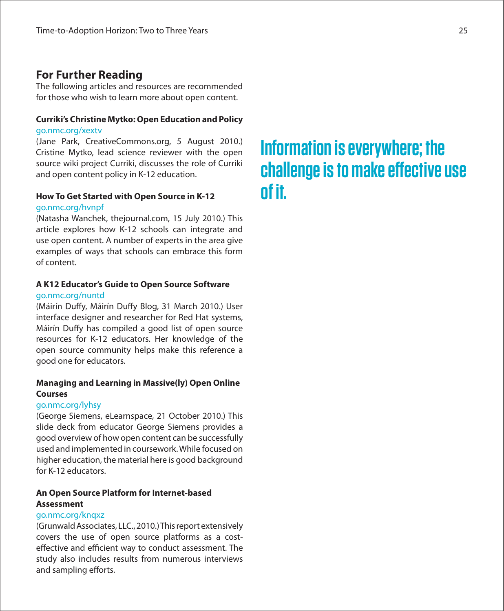## **For Further Reading**

The following articles and resources are recommended for those who wish to learn more about open content.

## **Curriki's Christine Mytko: Open Education and Policy** [go.nmc.org/xextv](http://go.nmc.org/xextv)

(Jane Park, CreativeCommons.org, 5 August 2010.) Cristine Mytko, lead science reviewer with the open source wiki project Curriki, discusses the role of Curriki and open content policy in K-12 education.

## **How To Get Started with Open Source in K-12** [go.nmc.org/hvnpf](http://go.nmc.org/hvnpf)

(Natasha Wanchek, thejournal.com, 15 July 2010.) This article explores how K-12 schools can integrate and use open content. A number of experts in the area give examples of ways that schools can embrace this form of content.

## **A K12 Educator's Guide to Open Source Software** [go.nmc.org/nuntd](http://go.nmc.org/nuntd)

(Máirín Duffy, Máirín Duffy Blog, 31 March 2010.) User interface designer and researcher for Red Hat systems, Máirín Duffy has compiled a good list of open source resources for K-12 educators. Her knowledge of the open source community helps make this reference a good one for educators.

## **Managing and Learning in Massive(ly) Open Online Courses**

## [go.nmc.org/lyhsy](http://go.nmc.org/lyhsy)

(George Siemens, eLearnspace, 21 October 2010.) This slide deck from educator George Siemens provides a good overview of how open content can be successfully used and implemented in coursework.While focused on higher education, the material here is good background for K-12 educators.

## **An Open Source Platform for Internet-based Assessment**

## [go.nmc.org/knqxz](http://go.nmc.org/knqxz)

(Grunwald Associates, LLC., 2010.) This report extensively covers the use of open source platforms as a costeffective and efficient way to conduct assessment. The study also includes results from numerous interviews and sampling efforts.

# **Information is everywhere; the challenge is to make effective use of it.**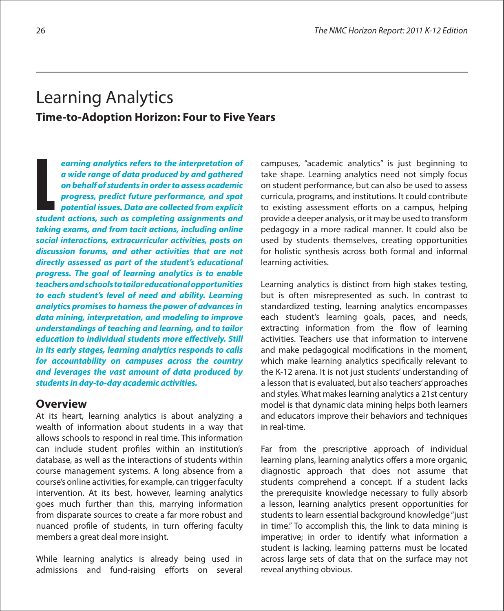## Learning Analytics **Time-to-Adoption Horizon: Four to Five Years**

**earning analytics refers to the interpretation of a wide range of data produced by and gathered on behalf of students in order to assess academic progress, predict future performance, and spot potential issues. Data are collected from explicit**  earning analytics refers to the interpretation of<br>a wide range of data produced by and gathered<br>on behalf of students in order to assess academic<br>progress, predict future performance, and spot<br>potential issues. Data are co **taking exams, and from tacit actions, including online social interactions, extracurricular activities, posts on discussion forums, and other activities that are not directly assessed as part of the student's educational progress. The goal of learning analytics is to enable teachers and schools to tailor educational opportunities to each student's level of need and ability. Learning analytics promises to harness the power of advances in data mining, interpretation, and modeling to improve understandings of teaching and learning, and to tailor education to individual students more effectively. Still in its early stages, learning analytics responds to calls for accountability on campuses across the country and leverages the vast amount of data produced by students in day-to-day academic activities.** 

## **Overview**

At its heart, learning analytics is about analyzing a wealth of information about students in a way that allows schools to respond in real time. This information can include student profiles within an institution's database, as well as the interactions of students within course management systems. A long absence from a course's online activities, for example, can triggerfaculty intervention. At its best, however, learning analytics goes much further than this, marrying information from disparate sources to create a far more robust and nuanced profile of students, in turn offering faculty members a great deal more insight.

While learning analytics is already being used in admissions and fund-raising efforts on several campuses, "academic analytics" is just beginning to take shape. Learning analytics need not simply focus on student performance, but can also be used to assess curricula, programs, and institutions. It could contribute to existing assessment efforts on a campus, helping provide a deeper analysis, or it may be used to transform pedagogy in a more radical manner. It could also be used by students themselves, creating opportunities for holistic synthesis across both formal and informal learning activities.

Learning analytics is distinct from high stakes testing, but is often misrepresented as such. In contrast to standardized testing, learning analytics encompasses each student's learning goals, paces, and needs, extracting information from the flow of learning activities. Teachers use that information to intervene and make pedagogical modifications in the moment, which make learning analytics specifically relevant to the K-12 arena. It is not just students' understanding of a lesson that is evaluated, but also teachers'approaches and styles. What makes learning analytics a 21st century model is that dynamic data mining helps both learners and educators improve their behaviors and techniques in real-time.

Far from the prescriptive approach of individual learning plans, learning analytics offers a more organic, diagnostic approach that does not assume that students comprehend a concept. If a student lacks the prerequisite knowledge necessary to fully absorb a lesson, learning analytics present opportunities for students to learn essential background knowledge"just in time." To accomplish this, the link to data mining is imperative; in order to identify what information a student is lacking, learning patterns must be located across large sets of data that on the surface may not reveal anything obvious.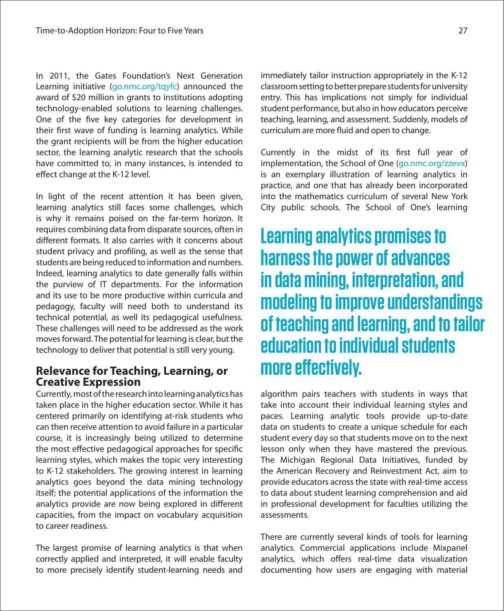In 2011, the Gates Foundation's Next Generation Learning initiative ([go.nmc.org/tqyfc\)](http://go.nmc.org/tqyfc) announced the award of \$20 million in grants to institutions adopting technology-enabled solutions to learning challenges. One of the five key categories for development in their first wave of funding is learning analytics. While the grant recipients will be from the higher education sector, the learning analytic research that the schools have committed to, in many instances, is intended to effect change at the K-12 level.

In light of the recent attention it has been given, learning analytics still faces some challenges, which is why it remains poised on the far-term horizon. It requires combining data from disparate sources, often in different formats. It also carries with it concerns about student privacy and profiling, as well as the sense that students are being reduced to information and numbers. Indeed, learning analytics to date generally falls within the purview of IT departments. For the information and its use to be more productive within curricula and pedagogy, faculty will need both to understand its technical potential, as well its pedagogical usefulness. These challenges will need to be addressed as the work moves forward. The potential for learning is clear, but the technology to deliver that potential is still very young.

## **Relevance for Teaching, Learning, or Creative Expression**

Currently,mostoftheresearchintolearninganalyticshas taken place in the higher education sector. While it has centered primarily on identifying at-risk students who can then receive attention to avoid failure in a particular course, it is increasingly being utilized to determine the most effective pedagogical approaches for specific learning styles, which makes the topic very interesting to K-12 stakeholders. The growing interest in learning analytics goes beyond the data mining technology itself; the potential applications of the information the analytics provide are now being explored in different capacities, from the impact on vocabulary acquisition to career readiness.

The largest promise of learning analytics is that when correctly applied and interpreted, it will enable faculty to more precisely identify student-learning needs and immediately tailor instruction appropriately in the K-12 classroomsettingtobetterpreparestudentsforuniversity entry. This has implications not simply for individual student performance, but also in how educators perceive teaching, learning, and assessment. Suddenly, models of curriculum are more fluid and open to change.

Currently in the midst of its first full year of implementation, the School of One (g[o.nmc.org/zzevx\)](http://go.nmc.org/zzevx) is an exemplary illustration of learning analytics in practice, and one that has already been incorporated into the mathematics curriculum of several New York City public schools. The School of One's learning

# **Learning analytics promises to harness the power of advances in data mining, interpretation, and modeling to improve understandings of teaching and learning, and to tailor education to individual students**  more effectively.

algorithm pairs teachers with students in ways that take into account their individual learning styles and paces. Learning analytic tools provide up-to-date data on students to create a unique schedule for each student every day so that students move on to the next lesson only when they have mastered the previous. The Michigan Regional Data Initiatives, funded by the American Recovery and Reinvestment Act, aim to provide educators acrossthe state with real-time access to data about student learning comprehension and aid in professional development for faculties utilizing the assessments

There are currently several kinds of tools for learning analytics. Commercial applications include Mixpanel analytics, which offers real-time data visualization documenting how users are engaging with material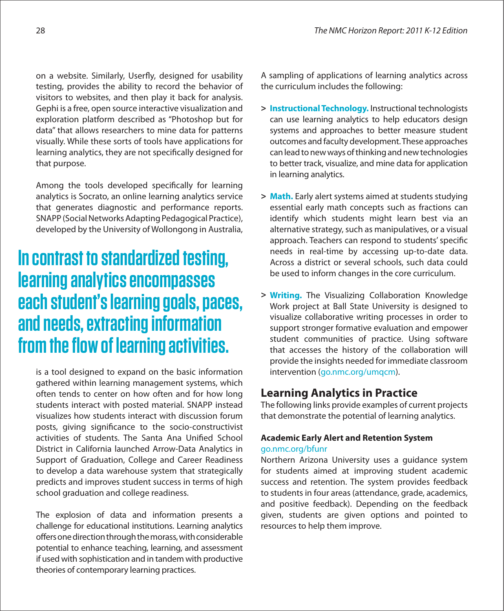on a website. Similarly, Userfly, designed for usability testing, provides the ability to record the behavior of visitors to websites, and then play it back for analysis. Gephi is a free, open source interactive visualization and exploration platform described as "Photoshop but for data" that allows researchers to mine data for patterns visually. While these sorts of tools have applications for learning analytics, they are not specifically designed for that purpose.

Among the tools developed specifically for learning analytics is Socrato, an online learning analytics service that generates diagnostic and performance reports. SNAPP (Social Networks Adapting Pedagogical Practice), developed by the University of Wollongong in Australia,

# **In contrast to standardized testing, learning analytics encompasses each student's learning goals, paces, and needs, extracting information from the flow of learning activities.**

is a tool designed to expand on the basic information gathered within learning management systems, which often tends to center on how often and for how long students interact with posted material. SNAPP instead visualizes how students interact with discussion forum posts, giving significance to the socio-constructivist activities of students. The Santa Ana Unified School District in California launched Arrow-Data Analytics in Support of Graduation, College and Career Readiness to develop a data warehouse system that strategically predicts and improves student success in terms of high school graduation and college readiness.

The explosion of data and information presents a challenge for educational institutions. Learning analytics offers one direction through the morass, with considerable potential to enhance teaching, learning, and assessment if used with sophistication and in tandem with productive theories of contemporary learning practices.

A sampling of applications of learning analytics across the curriculum includes the following:

- **> Instructional Technology.** Instructional technologists can use learning analytics to help educators design systems and approaches to better measure student outcomes and faculty development.These approaches can lead to new ways of thinking and new technologies to better track, visualize, and mine data for application in learning analytics.
- **> Math.** Early alert systems aimed at students studying essential early math concepts such as fractions can identify which students might learn best via an alternative strategy, such as manipulatives, or a visual approach. Teachers can respond to students' specific needs in real-time by accessing up-to-date data. Across a district or several schools, such data could be used to inform changes in the core curriculum.
- **> Writing.** The Visualizing Collaboration Knowledge Work project at Ball State University is designed to visualize collaborative writing processes in order to support stronger formative evaluation and empower student communities of practice. Using software that accesses the history of the collaboration will provide the insights needed for immediate classroom intervention (g[o.nmc.org/umqcm\)](http://go.nmc.org/umqcm).

## **Learning Analytics in Practice**

The following links provide examples of current projects that demonstrate the potential of learning analytics.

## **Academic Early Alert and Retention System** [go.nmc.org/bfunr](http://go.nmc.org/bfunr)

Northern Arizona University uses a guidance system for students aimed at improving student academic success and retention. The system provides feedback to students in four areas (attendance, grade, academics, and positive feedback). Depending on the feedback given, students are given options and pointed to resources to help them improve.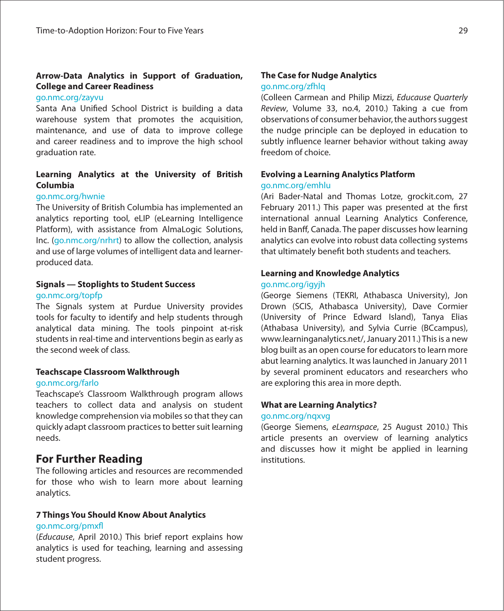## **Arrow-Data Analytics in Support of Graduation, College and Career Readiness**

## [go.nmc.org/zayvu](http://go.nmc.org/zayvu)

Santa Ana Unified School District is building a data warehouse system that promotes the acquisition, maintenance, and use of data to improve college and career readiness and to improve the high school graduation rate.

## **Learning Analytics at the University of British Columbia**

## [go.nmc.org/hwnie](http://go.nmc.org/hwnie)

The University of British Columbia has implemented an analytics reporting tool, eLIP (eLearning Intelligence Platform), with assistance from AlmaLogic Solutions, Inc. ([go.nmc.org/nrhrt\)](http://go.nmc.org/nrhrt) to allow the collection, analysis and use of large volumes of intelligent data and learnerproduced data.

## **Signals — Stoplights to Student Success** [go.nmc.org/topfp](http://go.nmc.org/topfp)

The Signals system at Purdue University provides tools for faculty to identify and help students through analytical data mining. The tools pinpoint at-risk students in real-time and interventions begin as early as the second week of class.

## **Teachscape Classroom Walkthrough**

## [go.nmc.org/farlo](http://go.nmc.org/farlo)

Teachscape's Classroom Walkthrough program allows teachers to collect data and analysis on student knowledge comprehension via mobiles so that they can quickly adapt classroom practices to better suit learning needs.

## **For Further Reading**

The following articles and resources are recommended for those who wish to learn more about learning analytics.

## **7 Things You Should Know About Analytics**

## go.nmc.org/pmxfl

(Educause, April 2010.) This brief report explains how analytics is used for teaching, learning and assessing student progress.

## **The Case for Nudge Analytics**

## [go.nmc.org/zfhlq](http://go.nmc.org/zfhlq)

(Colleen Carmean and Philip Mizzi, Educause Quarterly Review, Volume 33, no.4, 2010.) Taking a cue from observations of consumer behavior, the authors suggest the nudge principle can be deployed in education to subtly influence learner behavior without taking away freedom of choice.

## **Evolving a Learning Analytics Platform** [go.nmc.org/emhlu](http://go.nmc.org/emhlu)

(Ari Bader-Natal and Thomas Lotze, grockit.com, 27 February 2011.) This paper was presented at the first international annual Learning Analytics Conference, held in Banff, Canada. The paper discusses how learning analytics can evolve into robust data collecting systems that ultimately benefit both students and teachers.

## **Learning and Knowledge Analytics**

## [go.nmc.org/igyjh](http://go.nmc.org/igyjh)

(George Siemens (TEKRI, Athabasca University), Jon Drown (SCIS, Athabasca University), Dave Cormier (University of Prince Edward Island), Tanya Elias (Athabasa University), and Sylvia Currie (BCcampus), www.learninganalytics.net/, January 2011.) This is a new blog built as an open course for educators to learn more abut learning analytics. It was launched in January 2011 by several prominent educators and researchers who are exploring this area in more depth.

## **What are Learning Analytics?**

## [go.nmc.org/nqxvg](http://go.nmc.org/nqxvg)

(George Siemens, eLearnspace, 25 August 2010.) This article presents an overview of learning analytics and discusses how it might be applied in learning institutions.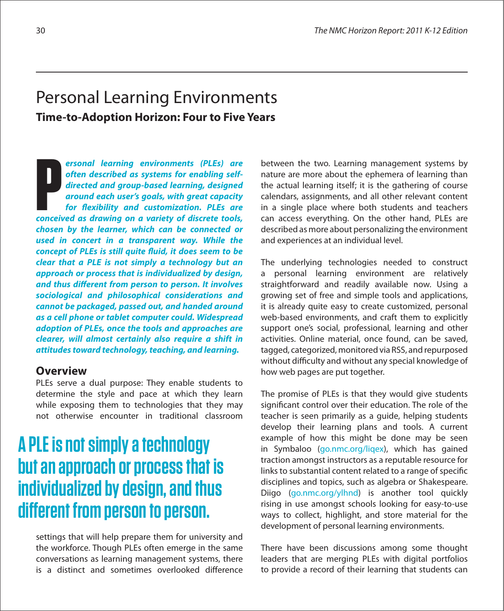## Personal Learning Environments **Time-to-Adoption Horizon: Four to Five Years**

**ersonal learning environments (PLEs) are often described as systems for enabling selfdirected and group-based learning, designed around each user's goals, with great capacity for #exibility and customization. PLEs are ersonal learning environments (PLEs) are often described as systems for enabling self-<br>directed and group-based learning, designed<br>around each user's goals, with great capacity<br>for flexibility and customization. PLEs are<br> chosen by the learner, which can be connected or used in concert in a transparent way. While the**  concept of PLEs is still quite fluid, it does seem to be **clear that a PLE is not simply a technology but an approach or process that is individualized by design,**  and thus different from person to person. It involves **sociological and philosophical considerations and cannot be packaged, passed out, and handed around as a cell phone or tablet computer could. Widespread adoption of PLEs, once the tools and approaches are clearer, will almost certainly also require a shift in attitudes toward technology, teaching, and learning.**

## **Overview**

PLEs serve a dual purpose: They enable students to determine the style and pace at which they learn while exposing them to technologies that they may not otherwise encounter in traditional classroom

# **A PLE is not simply a technology but an approach or process that is individualized by design, and thus different from person to person.**

settings that will help prepare them for university and the workforce. Though PLEs often emerge in the same conversations as learning management systems, there is a distinct and sometimes overlooked difference

between the two. Learning management systems by nature are more about the ephemera of learning than the actual learning itself; it is the gathering of course calendars, assignments, and all other relevant content in a single place where both students and teachers can access everything. On the other hand, PLEs are described as more about personalizing the environment and experiences at an individual level.

The underlying technologies needed to construct a personal learning environment are relatively straightforward and readily available now. Using a growing set of free and simple tools and applications, it is already quite easy to create customized, personal web-based environments, and craft them to explicitly support one's social, professional, learning and other activities. Online material, once found, can be saved, tagged, categorized, monitored via RSS, and repurposed without difficulty and without any special knowledge of how web pages are put together.

The promise of PLEs is that they would give students significant control over their education. The role of the teacher is seen primarily as a guide, helping students develop their learning plans and tools. A current example of how this might be done may be seen in Symbaloo ([go.nmc.org/liqex\),](http://go.nmc.org/liqex) which has gained traction amongst instructors as a reputable resource for links to substantial content related to a range of specific disciplines and topics, such as algebra or Shakespeare. Diigo ([go.nmc.org/ylhnd\)](http://go.nmc.org/ylhnd) is another tool quickly rising in use amongst schools looking for easy-to-use ways to collect, highlight, and store material for the development of personal learning environments.

There have been discussions among some thought leaders that are merging PLEs with digital portfolios to provide a record of their learning that students can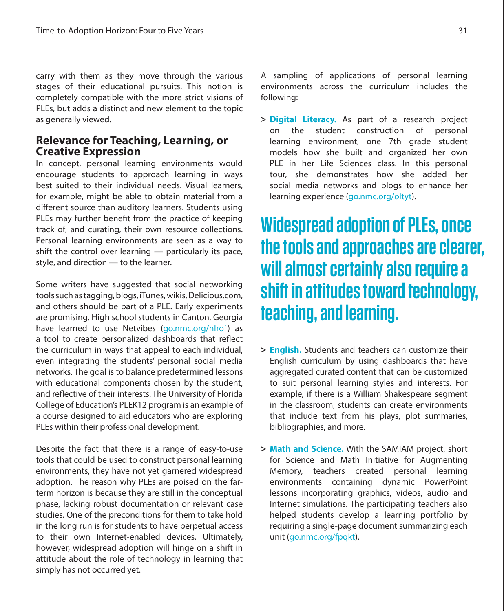carry with them as they move through the various stages of their educational pursuits. This notion is completely compatible with the more strict visions of PLEs, but adds a distinct and new element to the topic as generally viewed.

## **Relevance for Teaching, Learning, or Creative Expression**

In concept, personal learning environments would encourage students to approach learning in ways best suited to their individual needs. Visual learners, for example, might be able to obtain material from a different source than auditory learners. Students using PLEs may further benefit from the practice of keeping track of, and curating, their own resource collections. Personal learning environments are seen as a way to shift the control over learning — particularly its pace, style, and direction — to the learner.

Some writers have suggested that social networking tools such as tagging, blogs, iTunes, wikis, Delicious.com, and others should be part of a PLE. Early experiments are promising. High school students in Canton, Georgia have learned to use Netvibes ([go.nmc.org/nlrof\)](http://go.nmc.org/nlrof) as a tool to create personalized dashboards that reflect the curriculum in ways that appeal to each individual, even integrating the students' personal social media networks. The goal is to balance predetermined lessons with educational components chosen by the student, and reflective of their interests. The University of Florida College of Education's PLEK12 program is an example of a course designed to aid educators who are exploring PLEs within their professional development.

Despite the fact that there is a range of easy-to-use tools that could be used to construct personal learning environments, they have not yet garnered widespread adoption. The reason why PLEs are poised on the farterm horizon is because they are still in the conceptual phase, lacking robust documentation or relevant case studies. One of the preconditions for them to take hold in the long run is for students to have perpetual access to their own Internet-enabled devices. Ultimately, however, widespread adoption will hinge on a shift in attitude about the role of technology in learning that simply has not occurred yet.

A sampling of applications of personal learning environments across the curriculum includes the following:

**> Digital Literacy.** As part of a research project on the student construction of personal learning environment, one 7th grade student models how she built and organized her own PLE in her Life Sciences class. In this personal tour, she demonstrates how she added her social media networks and blogs to enhance her learning experience (g[o.nmc.org/oltyt\).](http://go.nmc.org/oltyt)

# **Widespread adoption of PLEs, once the tools and approaches are clearer, will almost certainly also require a shift in attitudes toward technology, teaching, and learning.**

- **> English.** Students and teachers can customize their English curriculum by using dashboards that have aggregated curated content that can be customized to suit personal learning styles and interests. For example, if there is a William Shakespeare segment in the classroom, students can create environments that include text from his plays, plot summaries, bibliographies, and more.
- **> Math and Science.** With the SAMIAM project, short for Science and Math Initiative for Augmenting Memory, teachers created personal learning environments containing dynamic PowerPoint lessons incorporating graphics, videos, audio and Internet simulations. The participating teachers also helped students develop a learning portfolio by requiring a single-page document summarizing each unit (g[o.nmc.org/fpqkt\).](http://go.nmc.org/fpqkt)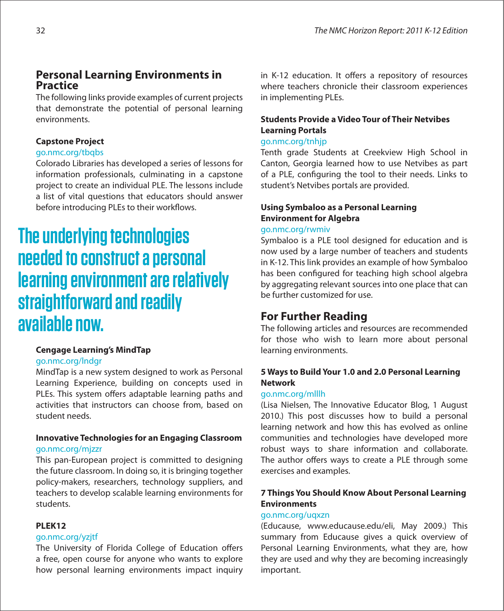## **Personal Learning Environments in Practice**

The following links provide examples of current projects that demonstrate the potential of personal learning environments.

## **Capstone Project**

## [go.nmc.org/tbqbs](http://go.nmc.org/tbqbs)

Colorado Libraries has developed a series of lessons for information professionals, culminating in a capstone project to create an individual PLE. The lessons include a list of vital questions that educators should answer before introducing PLEs to their workflows.

# **The underlying technologies needed to construct a personal learning environment are relatively straightforward and readily available now.**

## **Cengage Learning's MindTap**

## g[o.nmc.org/lndgr](http://go.nmc.org/lndgr)

MindTap is a new system designed to work as Personal Learning Experience, building on concepts used in PLEs. This system offers adaptable learning paths and activities that instructors can choose from, based on student needs.

## **Innovative Technologies for an Engaging Classroom** g[o.nmc.org/mjzzr](http://go.nmc.org/mjzzr)

This pan-European project is committed to designing the future classroom. In doing so, it is bringing together policy-makers, researchers, technology suppliers, and teachers to develop scalable learning environments for students.

## **PLEK12**

## [go.nmc.org/yzjtf](http://go.nmc.org/yzjtf)

The University of Florida College of Education offers a free, open course for anyone who wants to explore how personal learning environments impact inquiry in K-12 education. It offers a repository of resources where teachers chronicle their classroom experiences in implementing PLEs.

## **Students Provide a Video Tour of Their Netvibes Learning Portals**

## g[o.nmc.org/tnhjp](http://go.nmc.org/tnhjp)

Tenth grade Students at Creekview High School in Canton, Georgia learned how to use Netvibes as part of a PLE, configuring the tool to their needs. Links to student's Netvibes portals are provided.

## **Using Symbaloo as a Personal Learning Environment for Algebra**

## g[o.nmc.org/rwmiv](http://go.nmc.org/rwmiv)

Symbaloo is a PLE tool designed for education and is now used by a large number of teachers and students in K-12. This link provides an example of how Symbaloo has been configured for teaching high school algebra by aggregating relevant sources into one place that can be further customized for use.

## **For Further Reading**

The following articles and resources are recommended for those who wish to learn more about personal learning environments.

## **5 Ways to Build Your 1.0 and 2.0 Personal Learning Network**

## [go.nmc.org/mlllh](http://go.nmc.org/mlllh)

(Lisa Nielsen, The Innovative Educator Blog, 1 August 2010.) This post discusses how to build a personal learning network and how this has evolved as online communities and technologies have developed more robust ways to share information and collaborate. The author offers ways to create a PLE through some exercises and examples.

## **7 Things You Should Know About Personal Learning Environments**

## [go.nmc.org/uqxzn](http://go.nmc.org/uqxzn)

(Educause, www.educause.edu/eli, May 2009.) This summary from Educause gives a quick overview of Personal Learning Environments, what they are, how they are used and why they are becoming increasingly important.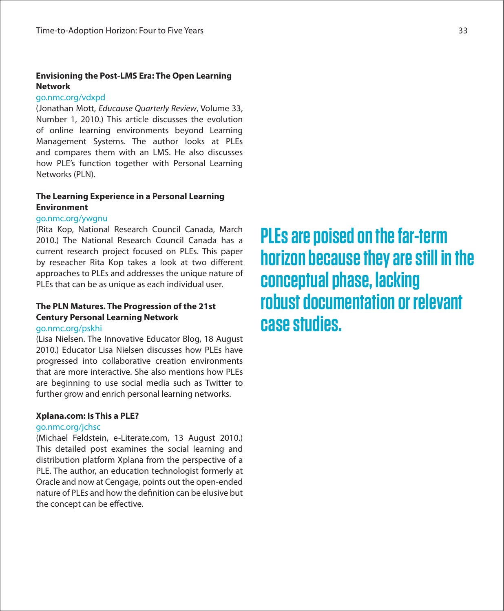## **Envisioning the Post-LMS Era: The Open Learning Network**

## [go.nmc.org/vdxpd](http://go.nmc.org/vdxpd)

(Jonathan Mott, Educause Quarterly Review, Volume 33, Number 1, 2010.) This article discusses the evolution of online learning environments beyond Learning Management Systems. The author looks at PLEs and compares them with an LMS. He also discusses how PLE's function together with Personal Learning Networks (PLN).

## **The Learning Experience in a Personal Learning Environment**

## [go.nmc.org/ywgnu](http://go.nmc.org/ywgnu)

(Rita Kop, National Research Council Canada, March 2010.) The National Research Council Canada has a current research project focused on PLEs. This paper by reseacher Rita Kop takes a look at two different approaches to PLEs and addresses the unique nature of PLEs that can be as unique as each individual user.

## **The PLN Matures. The Progression of the 21st Century Personal Learning Network** [go.nmc.org/pskhi](http://go.nmc.org/pskhi)

(Lisa Nielsen. The Innovative Educator Blog, 18 August 2010.) Educator Lisa Nielsen discusses how PLEs have progressed into collaborative creation environments that are more interactive. She also mentions how PLEs are beginning to use social media such as Twitter to further grow and enrich personal learning networks.

## **Xplana.com: Is This a PLE?**

## [go.nmc.org/jchsc](http://go.nmc.org/jchsc)

(Michael Feldstein, e-Literate.com, 13 August 2010.) This detailed post examines the social learning and distribution platform Xplana from the perspective of a PLE. The author, an education technologist formerly at Oracle and now at Cengage, points out the open-ended nature of PLEs and how the definition can be elusive but the concept can be effective.

**PLEs are poised on the far-term horizon because they are still in the conceptual phase, lacking robust documentation or relevant case studies.**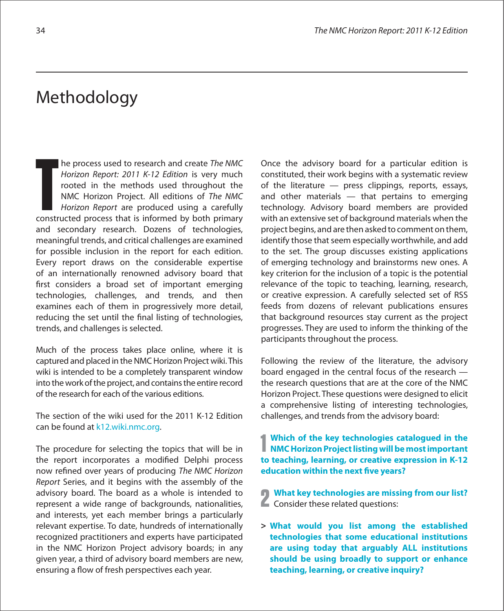## Methodology

he process used to research and create The NMC Horizon Report: 2011 K-12 Edition is very much rooted in the methods used throughout the NMC Horizon Project. All editions of The NMC Horizon Report are produced using a carefully The process used to research and create *The NMC*<br>
Horizon Report: 2011 K-12 Edition is very much<br>
rooted in the methods used throughout the<br>
NMC Horizon Project. All editions of *The NMC*<br>
Horizon Report are produced usin and secondary research. Dozens of technologies, meaningful trends, and critical challenges are examined for possible inclusion in the report for each edition. Every report draws on the considerable expertise of an internationally renowned advisory board that first considers a broad set of important emerging technologies, challenges, and trends, and then examines each of them in progressively more detail, reducing the set until the final listing of technologies, trends, and challenges is selected.

Much of the process takes place online, where it is captured and placed in the NMC Horizon Project wiki. This wiki is intended to be a completely transparent window into the work of the project, and contains the entire record of the research for each of the various editions.

The section of the wiki used for the 2011 K-12 Edition can be found at k[12.wiki.nmc.org.](http://k12.wiki.nmc.org)

The procedure for selecting the topics that will be in the report incorporates a modified Delphi process now refined over years of producing The NMC Horizon Report Series, and it begins with the assembly of the advisory board. The board as a whole is intended to represent a wide range of backgrounds, nationalities, and interests, yet each member brings a particularly relevant expertise. To date, hundreds of internationally recognized practitioners and experts have participated in the NMC Horizon Project advisory boards; in any given year, a third of advisory board members are new, ensuring a flow of fresh perspectives each year.

Once the advisory board for a particular edition is constituted, their work begins with a systematic review of the literature — press clippings, reports, essays, and other materials — that pertains to emerging technology. Advisory board members are provided with an extensive set of background materials when the project begins, and are then asked to comment on them, identify those that seem especially worthwhile, and add to the set. The group discusses existing applications of emerging technology and brainstorms new ones. A key criterion for the inclusion of a topic is the potential relevance of the topic to teaching, learning, research, or creative expression. A carefully selected set of RSS feeds from dozens of relevant publications ensures that background resources stay current as the project progresses. They are used to inform the thinking of the participants throughout the process.

Following the review of the literature, the advisory board engaged in the central focus of the research the research questions that are at the core of the NMC Horizon Project. These questions were designed to elicit a comprehensive listing of interesting technologies, challenges, and trends from the advisory board:

**1** Which of the key technologies catalogued in the **NMC Horizon Project listing will be most important NMC Horizon Project listing will be most important to teaching, learning, or creative expression in K-12 education within the next five years?** 

**2 What key technologies are missing from our list? Consider these related questions:** 

**> What would you list among the established technologies that some educational institutions are using today that arguably ALL institutions should be using broadly to support or enhance teaching, learning, or creative inquiry?**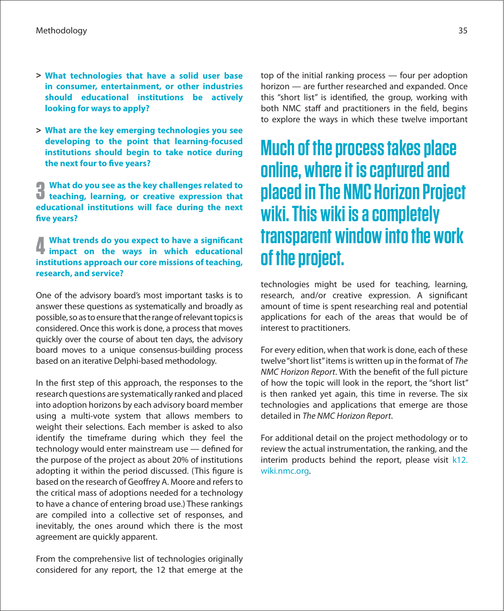- **> What technologies that have a solid user base in consumer, entertainment, or other industries should educational institutions be actively looking for ways to apply?**
- **> What are the key emerging technologies you see developing to the point that learning-focused institutions should begin to take notice during the next four to five years?**

**3 What do you see as the key challenges related to teaching, learning, or creative expression that educational institutions will face during the next**  five years?

## **4 What trends do you expect to have a significant impact on the ways in which educational institutions approach our core missions of teaching, research, and service?**

One of the advisory board's most important tasks is to answer these questions as systematically and broadly as possible, so as to ensure that the range of relevant topics is considered. Once this work is done, a processthat moves quickly over the course of about ten days, the advisory board moves to a unique consensus-building process based on an iterative Delphi-based methodology.

In the first step of this approach, the responses to the research questions are systematically ranked and placed into adoption horizons by each advisory board member using a multi-vote system that allows members to weight their selections. Each member is asked to also identify the timeframe during which they feel the technology would enter mainstream use  $-$  defined for the purpose of the project as about 20% of institutions adopting it within the period discussed. (This figure is based on the research of Geoffrey A. Moore and refers to the critical mass of adoptions needed for a technology to have a chance of entering broad use.) These rankings are compiled into a collective set of responses, and inevitably, the ones around which there is the most agreement are quickly apparent.

From the comprehensive list of technologies originally considered for any report, the 12 that emerge at the

top of the initial ranking process — four per adoption horizon — are further researched and expanded. Once this "short list" is identified, the group, working with both NMC staff and practitioners in the field, begins to explore the ways in which these twelve important

# **Much of the process takes place online, where it is captured and placed in The NMC Horizon Project wiki. This wiki is a completely transparent window into the work of the project.**

technologies might be used for teaching, learning, research, and/or creative expression. A significant amount of time is spent researching real and potential applications for each of the areas that would be of interest to practitioners.

For every edition, when that work is done, each of these twelve"short list"itemsis written up in the format of The NMC Horizon Report. With the benefit of the full picture of how the topic will look in the report, the "short list" is then ranked yet again, this time in reverse. The six technologies and applications that emerge are those detailed in The NMC Horizon Report.

For additional detail on the project methodology or to review the actual instrumentation, the ranking, and the interim products behind the report, please visit k[12.](http://k12.wiki.nmc.org) [wiki.nmc.org.](http://k12.wiki.nmc.org)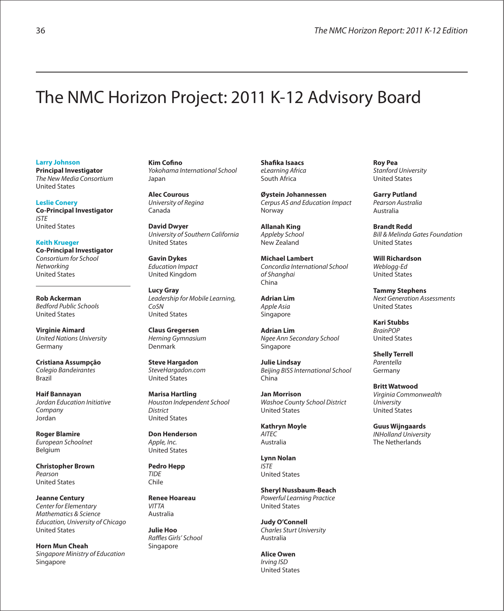# The NMC Horizon Project: 2011 K-12 Advisory Board

#### **Larry Johnson**

**Principal Investigator** The New Media Consortium United States

**Leslie Conery Co-Principal Investigator** ISTE United States

**Keith Krueger** 

**Co-Principal Investigator** Consortium for School **Networking** United States

**Rob Ackerman** Bedford Public Schools United States

**Virginie Aimard** United Nations University Germany

**Cristiana Assumpção** Colegio Bandeirantes Brazil

**Haif Bannayan** Jordan Education Initiative Company Jordan

**Roger Blamire** European Schoolnet Belgium

**Christopher Brown** Pearson United States

**Jeanne Century** Center for Elementary Mathematics & Science Education, University of Chicago United States

**Horn Mun Cheah** Singapore Ministry of Education Singapore

**Kim Cofino** Yokohama International School Japan

**Alec Courous** University of Regina Canada

**David Dwyer** University of Southern California United States

**Gavin Dykes** Education Impact United Kingdom

**Lucy Gray** Leadership for Mobile Learning, CoSN United States

**Claus Gregersen** Herning Gymnasium Denmark

**Steve Hargadon** SteveHargadon.com United States

**Marisa Hartling** Houston Independent School **District** United States

**Don Henderson** Apple, Inc. United States

**Pedro Hepp TIDE** Chile

**Renee Hoareau** VITTA Australia

**Julie Hoo** Raffles Girls' School Singapore

**Shafika Isaacs** eLearning Africa South Africa

**Øystein Johannessen** Cerpus AS and Education Impact Norway

**Allanah King** Appleby School New Zealand

**Michael Lambert** Concordia International School of Shanahai China

**Adrian Lim** Apple Asia Singapore

**Adrian Lim** Ngee Ann Secondary School Singapore

**Julie Lindsay** Beijing BISS International School China

**Jan Morrison** Washoe County School District United States

**Kathryn Moyle AITEC** Australia

**Lynn Nolan** ISTE United States

**Sheryl Nussbaum-Beach** Powerful Learning Practice United States

**Judy O'Connell** Charles Sturt University Australia

**Alice Owen** Irving ISD United States

**Roy Pea** Stanford University United States

**Garry Putland** Pearson Australia Australia

**Brandt Redd** Bill & Melinda Gates Foundation United States

**Will Richardson** Weblogg-Ed United States

**Tammy Stephens** Next Generation Assessments United States

**Kari Stubbs** BrainPOP United States

**Shelly Terrell** Parentella Germany

**Britt Watwood** Virginia Commonwealth **University** United States

**Guus Wijngaards** INHolland University The Netherlands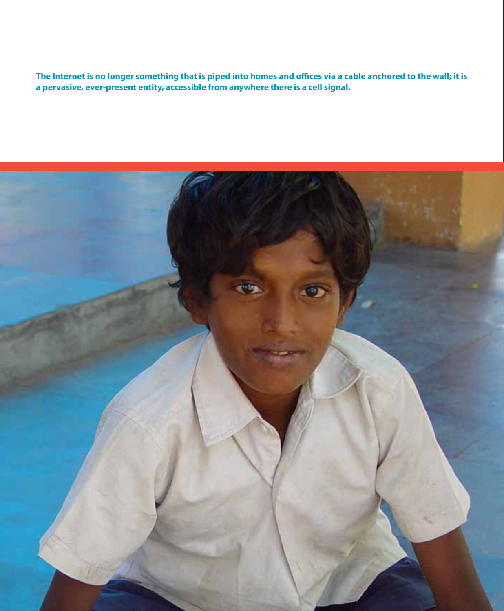**The Internet is no longer something that is piped into homes and o\$ces via a cable anchored to the wall; it is a pervasive, ever-present entity, accessible from anywhere there is a cell signal.**